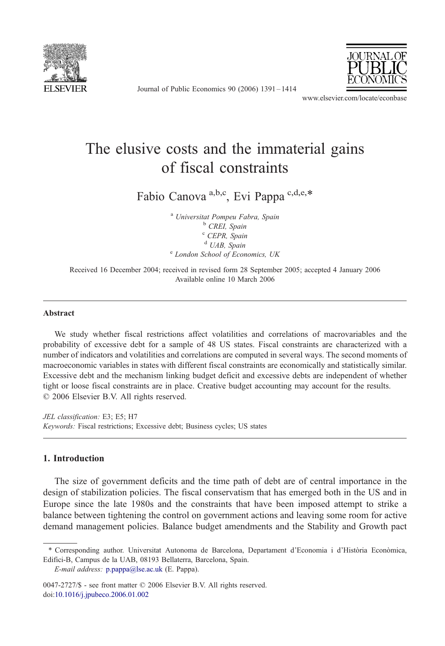

Journal of Public Economics 90 (2006) 1391 – 1414



www.elsevier.com/locate/econbase

# The elusive costs and the immaterial gains of fiscal constraints

Fabio Canova<sup>a,b,c</sup>, Evi Pappa<sup>c,d,e,\*</sup>

<sup>a</sup> Universitat Pompeu Fabra, Spain <sup>b</sup> CREI, Spain<br><sup>c</sup> CEPR, Spain<br><sup>d</sup> UAB, Spain <sup>e</sup> London School of Economics, UK

Received 16 December 2004; received in revised form 28 September 2005; accepted 4 January 2006 Available online 10 March 2006

#### Abstract

We study whether fiscal restrictions affect volatilities and correlations of macrovariables and the probability of excessive debt for a sample of 48 US states. Fiscal constraints are characterized with a number of indicators and volatilities and correlations are computed in several ways. The second moments of macroeconomic variables in states with different fiscal constraints are economically and statistically similar. Excessive debt and the mechanism linking budget deficit and excessive debts are independent of whether tight or loose fiscal constraints are in place. Creative budget accounting may account for the results.  $\odot$  2006 Elsevier B.V. All rights reserved.

JEL classification: E3; E5; H7 Keywords: Fiscal restrictions; Excessive debt; Business cycles; US states

# 1. Introduction

The size of government deficits and the time path of debt are of central importance in the design of stabilization policies. The fiscal conservatism that has emerged both in the US and in Europe since the late 1980s and the constraints that have been imposed attempt to strike a balance between tightening the control on government actions and leaving some room for active demand management policies. Balance budget amendments and the Stability and Growth pact

<sup>\*</sup> Corresponding author. Universitat Autonoma de Barcelona, Departament d'Economia i d'Història Econòmica, Edifici-B, Campus de la UAB, 08193 Bellaterra, Barcelona, Spain.

E-mail address: [p.pappa@lse.ac.uk](mailto:p.pappa@lse.ac.uk) (E. Pappa).

<sup>0047-2727/\$ -</sup> see front matter © 2006 Elsevier B.V. All rights reserved. d[oi:10.1016/j.jpubeco.2006.01.002](http://dx.doi.org/10.1016/j.jpubeco.2006.01.002)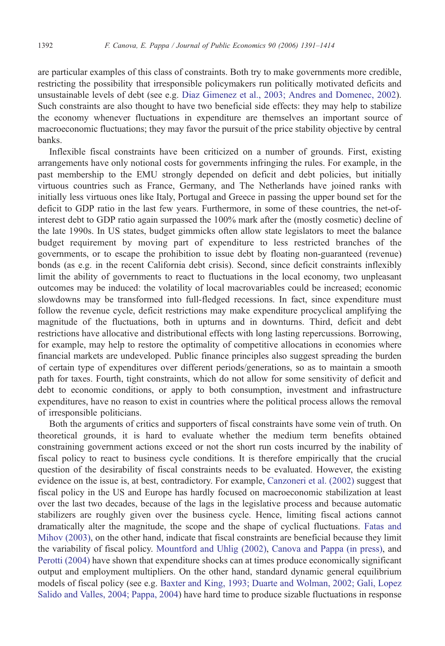are particular examples of this class of constraints. Both try to make governments more credible, restricting the possibility that irresponsible policymakers run politically motivated deficits and unsustainable levels of debt (see e.g. Di[az Gimenez et al., 2003; Andres and Domenec, 2002\).](#page-22-0) Such constraints are also thought to have two beneficial side effects: they may help to stabilize the economy whenever fluctuations in expenditure are themselves an important source of macroeconomic fluctuations; they may favor the pursuit of the price stability objective by central banks.

Inflexible fiscal constraints have been criticized on a number of grounds. First, existing arrangements have only notional costs for governments infringing the rules. For example, in the past membership to the EMU strongly depended on deficit and debt policies, but initially virtuous countries such as France, Germany, and The Netherlands have joined ranks with initially less virtuous ones like Italy, Portugal and Greece in passing the upper bound set for the deficit to GDP ratio in the last few years. Furthermore, in some of these countries, the net-ofinterest debt to GDP ratio again surpassed the 100% mark after the (mostly cosmetic) decline of the late 1990s. In US states, budget gimmicks often allow state legislators to meet the balance budget requirement by moving part of expenditure to less restricted branches of the governments, or to escape the prohibition to issue debt by floating non-guaranteed (revenue) bonds (as e.g. in the recent California debt crisis). Second, since deficit constraints inflexibly limit the ability of governments to react to fluctuations in the local economy, two unpleasant outcomes may be induced: the volatility of local macrovariables could be increased; economic slowdowns may be transformed into full-fledged recessions. In fact, since expenditure must follow the revenue cycle, deficit restrictions may make expenditure procyclical amplifying the magnitude of the fluctuations, both in upturns and in downturns. Third, deficit and debt restrictions have allocative and distributional effects with long lasting repercussions. Borrowing, for example, may help to restore the optimality of competitive allocations in economies where financial markets are undeveloped. Public finance principles also suggest spreading the burden of certain type of expenditures over different periods/generations, so as to maintain a smooth path for taxes. Fourth, tight constraints, which do not allow for some sensitivity of deficit and debt to economic conditions, or apply to both consumption, investment and infrastructure expenditures, have no reason to exist in countries where the political process allows the removal of irresponsible politicians.

Both the arguments of critics and supporters of fiscal constraints have some vein of truth. On theoretical grounds, it is hard to evaluate whether the medium term benefits obtained constraining government actions exceed or not the short run costs incurred by the inability of fiscal policy to react to business cycle conditions. It is therefore empirically that the crucial question of the desirability of fiscal constraints needs to be evaluated. However, the existing evidence on the issue is, at best, contradictory. For example, Ca[nzoneri et al. \(2002\)](#page-22-0) suggest that fiscal policy in the US and Europe has hardly focused on macroeconomic stabilization at least over the last two decades, because of the lags in the legislative process and because automatic stabilizers are roughly given over the business cycle. Hence, limiting fiscal actions cannot dramatically alter the magnitude, the scope and the shape of cyclical fluctuations. Fat[as an](#page-23-0)d Mihov (2003), on the other hand, indicate that fiscal constraints are beneficial because they limit the variability of fiscal policy. M[ountford and Uhlig \(2002\),](#page-23-0) Ca[nova and Pappa \(in press\), an](#page-22-0)d Per[otti \(2004\)](#page-23-0) have shown that expenditure shocks can at times produce economically significant output and employment multipliers. On the other hand, standard dynamic general equilibrium models of fiscal policy (see e.g. Ba[xter and King, 1993; Duarte and Wolman, 2002; Gali, Lop](#page-22-0)ez Salido and Valles, 2004; Pappa, 2004) have hard time to produce sizable fluctuations in response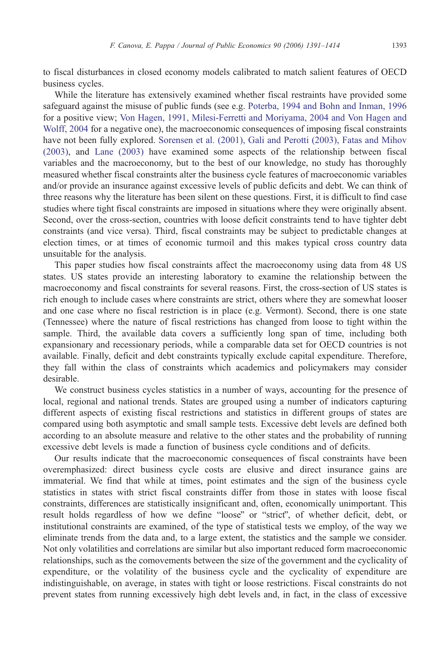to fiscal disturbances in closed economy models calibrated to match salient features of OECD business cycles.

While the literature has extensively examined whether fiscal restraints have provided some safeguard against the misuse of public funds (see e.g. Po[terba, 1994 and Bohn and Inman, 1996](#page-23-0)) for a positive view; Vo[n Hagen, 1991, Milesi-Ferretti and Moriyama, 2004 and Von Hagen a](#page-23-0)nd Wolff, 2004 for a negative one), the macroeconomic consequences of imposing fiscal constraints have not been fully explored. So[rensen et al. \(2001\), Gali and Perotti \(2003\), Fatas and Mih](#page-23-0)ov (2003), and La[ne \(2003\)](#page-23-0) have examined some aspects of the relationship between fiscal variables and the macroeconomy, but to the best of our knowledge, no study has thoroughly measured whether fiscal constraints alter the business cycle features of macroeconomic variables and/or provide an insurance against excessive levels of public deficits and debt. We can think of three reasons why the literature has been silent on these questions. First, it is difficult to find case studies where tight fiscal constraints are imposed in situations where they were originally absent. Second, over the cross-section, countries with loose deficit constraints tend to have tighter debt constraints (and vice versa). Third, fiscal constraints may be subject to predictable changes at election times, or at times of economic turmoil and this makes typical cross country data unsuitable for the analysis.

This paper studies how fiscal constraints affect the macroeconomy using data from 48 US states. US states provide an interesting laboratory to examine the relationship between the macroeconomy and fiscal constraints for several reasons. First, the cross-section of US states is rich enough to include cases where constraints are strict, others where they are somewhat looser and one case where no fiscal restriction is in place (e.g. Vermont). Second, there is one state (Tennessee) where the nature of fiscal restrictions has changed from loose to tight within the sample. Third, the available data covers a sufficiently long span of time, including both expansionary and recessionary periods, while a comparable data set for OECD countries is not available. Finally, deficit and debt constraints typically exclude capital expenditure. Therefore, they fall within the class of constraints which academics and policymakers may consider desirable.

We construct business cycles statistics in a number of ways, accounting for the presence of local, regional and national trends. States are grouped using a number of indicators capturing different aspects of existing fiscal restrictions and statistics in different groups of states are compared using both asymptotic and small sample tests. Excessive debt levels are defined both according to an absolute measure and relative to the other states and the probability of running excessive debt levels is made a function of business cycle conditions and of deficits.

Our results indicate that the macroeconomic consequences of fiscal constraints have been overemphasized: direct business cycle costs are elusive and direct insurance gains are immaterial. We find that while at times, point estimates and the sign of the business cycle statistics in states with strict fiscal constraints differ from those in states with loose fiscal constraints, differences are statistically insignificant and, often, economically unimportant. This result holds regardless of how we define "loose" or "strict", of whether deficit, debt, or institutional constraints are examined, of the type of statistical tests we employ, of the way we eliminate trends from the data and, to a large extent, the statistics and the sample we consider. Not only volatilities and correlations are similar but also important reduced form macroeconomic relationships, such as the comovements between the size of the government and the cyclicality of expenditure, or the volatility of the business cycle and the cyclicality of expenditure are indistinguishable, on average, in states with tight or loose restrictions. Fiscal constraints do not prevent states from running excessively high debt levels and, in fact, in the class of excessive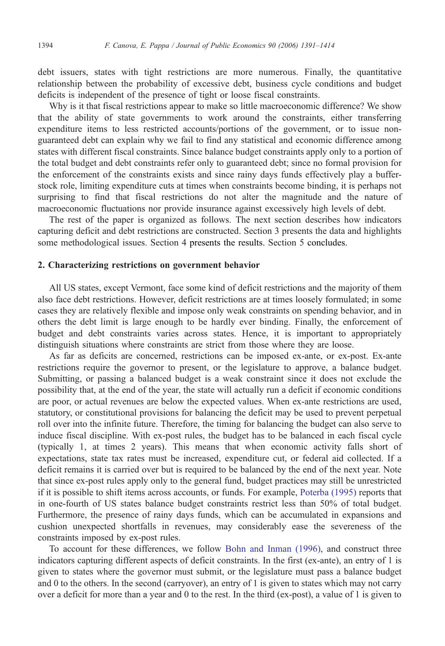debt issuers, states with tight restrictions are more numerous. Finally, the quantitative relationship between the probability of excessive debt, business cycle conditions and budget deficits is independent of the presence of tight or loose fiscal constraints.

Why is it that fiscal restrictions appear to make so little macroeconomic difference? We show that the ability of state governments to work around the constraints, either transferring expenditure items to less restricted accounts/portions of the government, or to issue nonguaranteed debt can explain why we fail to find any statistical and economic difference among states with different fiscal constraints. Since balance budget constraints apply only to a portion of the total budget and debt constraints refer only to guaranteed debt; since no formal provision for the enforcement of the constraints exists and since rainy days funds effectively play a bufferstock role, limiting expenditure cuts at times when constraints become binding, it is perhaps not surprising to find that fiscal restrictions do not alter the magnitude and the nature of macroeconomic fluctuations nor provide insurance against excessively high levels of debt.

The rest of the paper is organized as follows. The next section describes how indicators capturing deficit and debt restrictions are constructed. Section 3 presents the data and highlights some methodological issues. Section 4 presents the results. Section 5 concludes.

## 2. Characterizing restrictions on government behavior

All US states, except Vermont, face some kind of deficit restrictions and the majority of them also face debt restrictions. However, deficit restrictions are at times loosely formulated; in some cases they are relatively flexible and impose only weak constraints on spending behavior, and in others the debt limit is large enough to be hardly ever binding. Finally, the enforcement of budget and debt constraints varies across states. Hence, it is important to appropriately distinguish situations where constraints are strict from those where they are loose.

As far as deficits are concerned, restrictions can be imposed ex-ante, or ex-post. Ex-ante restrictions require the governor to present, or the legislature to approve, a balance budget. Submitting, or passing a balanced budget is a weak constraint since it does not exclude the possibility that, at the end of the year, the state will actually run a deficit if economic conditions are poor, or actual revenues are below the expected values. When ex-ante restrictions are used, statutory, or constitutional provisions for balancing the deficit may be used to prevent perpetual roll over into the infinite future. Therefore, the timing for balancing the budget can also serve to induce fiscal discipline. With ex-post rules, the budget has to be balanced in each fiscal cycle (typically 1, at times 2 years). This means that when economic activity falls short of expectations, state tax rates must be increased, expenditure cut, or federal aid collected. If a deficit remains it is carried over but is required to be balanced by the end of the next year. Note that since ex-post rules apply only to the general fund, budget practices may still be unrestricted if it is possible to shift items across accounts, or funds. For example, Pot[erba \(1995\)](#page-23-0) reports that in one-fourth of US states balance budget constraints restrict less than 50% of total budget. Furthermore, the presence of rainy days funds, which can be accumulated in expansions and cushion unexpected shortfalls in revenues, may considerably ease the severeness of the constraints imposed by ex-post rules.

To account for these differences, we follow Bo[hn and Inman \(1996\), an](#page-22-0)d construct three indicators capturing different aspects of deficit constraints. In the first (ex-ante), an entry of 1 is given to states where the governor must submit, or the legislature must pass a balance budget and 0 to the others. In the second (carryover), an entry of 1 is given to states which may not carry over a deficit for more than a year and 0 to the rest. In the third (ex-post), a value of 1 is given to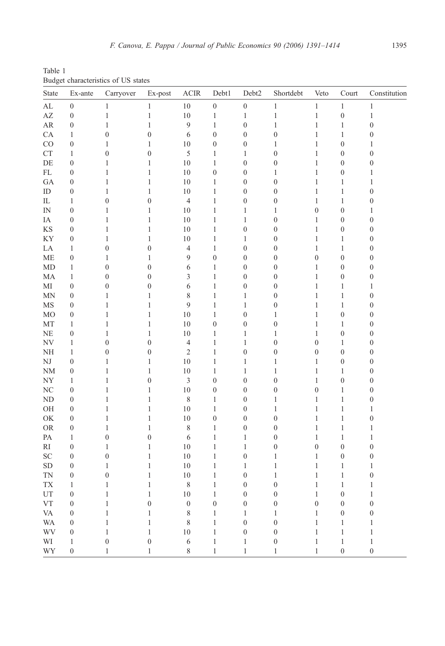<span id="page-4-0"></span>Table 1 Budget characteristics of US states

| State          | Ex-ante          | Carryover        | Ex-post          | <b>ACIR</b>      | Debt1            | Debt2            | Shortdebt        | Veto             | Court            | Constitution     |
|----------------|------------------|------------------|------------------|------------------|------------------|------------------|------------------|------------------|------------------|------------------|
| AL             | $\boldsymbol{0}$ | $\mathbf{1}$     | $\mathbf{1}$     | 10               | $\boldsymbol{0}$ | $\boldsymbol{0}$ | $\mathbf{1}$     | $\mathbf{1}$     | $\mathbf{1}$     | $\mathbf{1}$     |
| AZ             | $\boldsymbol{0}$ | $\mathbf{1}$     | $\mathbf{1}$     | $10\,$           | $\mathbf{1}$     | $\mathbf{1}$     | $\mathbf{1}$     | $\,1$            | $\boldsymbol{0}$ | $\mathbf{1}$     |
| AR             | $\boldsymbol{0}$ | $\mathbf{1}$     | $\mathbf{1}$     | $\overline{9}$   | $\mathbf{1}$     | $\boldsymbol{0}$ | 1                | $\mathbf{1}$     | $\mathbf{1}$     | $\boldsymbol{0}$ |
| CA             | $\mathbf{1}$     | $\overline{0}$   | $\boldsymbol{0}$ | $\sqrt{6}$       | $\boldsymbol{0}$ | $\boldsymbol{0}$ | $\mathbf{0}$     | $\mathbf{1}$     | $\,1\,$          | $\boldsymbol{0}$ |
| CO             | $\overline{0}$   | $\mathbf{1}$     | $\mathbf{1}$     | 10               | $\mathbf{0}$     | $\boldsymbol{0}$ | 1                | $\mathbf{1}$     | $\overline{0}$   | $\mathbf{1}$     |
| CT             | $\mathbf{1}$     | $\overline{0}$   | $\boldsymbol{0}$ | 5                | $\mathbf{1}$     | $\,1\,$          | $\mathbf{0}$     | $\mathbf{1}$     | $\mathbf{0}$     | $\boldsymbol{0}$ |
| DE             | $\boldsymbol{0}$ | $\mathbf{1}$     | $\mathbf{1}$     | 10               | $\mathbf{1}$     | $\boldsymbol{0}$ | $\boldsymbol{0}$ | $\mathbf{1}$     | $\mathbf{0}$     | $\boldsymbol{0}$ |
| FL             | $\boldsymbol{0}$ | $\mathbf{1}$     | $\mathbf{1}$     | 10               | $\boldsymbol{0}$ | $\boldsymbol{0}$ | 1                | $\mathbf{1}$     | $\mathbf{0}$     | $\mathbf{1}$     |
| GA             | $\mathbf{0}$     | $\mathbf{1}$     | $\mathbf{1}$     | 10               | $\mathbf{1}$     | $\boldsymbol{0}$ | $\mathbf{0}$     | $\mathbf{1}$     | $\mathbf{1}$     | $\mathbf{1}$     |
| ID             | $\mathbf{0}$     | $\mathbf{1}$     | $\mathbf{1}$     | 10               | $\mathbf{1}$     | $\boldsymbol{0}$ | $\boldsymbol{0}$ | $\mathbf{1}$     | $\,1\,$          | $\boldsymbol{0}$ |
| ${\rm IL}$     | $\mathbf{1}$     | $\mathbf{0}$     | $\mathbf{0}$     | $\overline{4}$   | $\mathbf{1}$     | $\boldsymbol{0}$ | $\overline{0}$   | $\mathbf{1}$     | $\mathbf{1}$     | $\boldsymbol{0}$ |
| $_{\rm IN}$    | $\boldsymbol{0}$ | $\mathbf{1}$     | $\mathbf{1}$     | 10               | $\mathbf{1}$     | $\mathbf{1}$     | $\mathbf{1}$     | $\boldsymbol{0}$ | $\mathbf{0}$     | $\mathbf{1}$     |
| IA             | $\boldsymbol{0}$ | $\mathbf{1}$     | 1                | 10               | $\mathbf{1}$     | $\mathbf{1}$     | $\boldsymbol{0}$ | $\mathbf{1}$     | $\mathbf{0}$     | $\boldsymbol{0}$ |
| KS             | $\boldsymbol{0}$ | $\mathbf{1}$     | $\mathbf{1}$     | 10               | $\mathbf{1}$     | $\boldsymbol{0}$ | $\mathbf{0}$     | $\mathbf{1}$     | $\boldsymbol{0}$ | $\boldsymbol{0}$ |
| KY             | $\boldsymbol{0}$ | $\mathbf{1}$     | $\mathbf{1}$     | 10               | $\mathbf{1}$     | $\mathbf{1}$     | $\boldsymbol{0}$ | $\mathbf{1}$     | $\mathbf{1}$     | $\boldsymbol{0}$ |
| LA             | $\mathbf{1}$     | $\overline{0}$   | $\boldsymbol{0}$ | $\overline{4}$   | $\mathbf{1}$     | $\boldsymbol{0}$ | $\boldsymbol{0}$ | $\mathbf{1}$     | $\,1\,$          | $\boldsymbol{0}$ |
| <b>ME</b>      | $\mathbf{0}$     | $\mathbf{1}$     | $\mathbf{1}$     | 9                | $\mathbf{0}$     | $\boldsymbol{0}$ | $\boldsymbol{0}$ | $\mathbf{0}$     | $\overline{0}$   | $\boldsymbol{0}$ |
| MD             | $\mathbf{1}$     | $\overline{0}$   | $\mathbf{0}$     | 6                | $\mathbf{1}$     | $\boldsymbol{0}$ | $\mathbf{0}$     | $\mathbf{1}$     | $\mathbf{0}$     | $\boldsymbol{0}$ |
| MA             | $\mathbf{1}$     | $\mathbf{0}$     | $\boldsymbol{0}$ | 3                | $\mathbf{1}$     | $\boldsymbol{0}$ | $\boldsymbol{0}$ | $\mathbf{1}$     | $\mathbf{0}$     | $\boldsymbol{0}$ |
| МI             | $\mathbf{0}$     | $\boldsymbol{0}$ | $\mathbf{0}$     | 6                | $\mathbf{1}$     | $\boldsymbol{0}$ | $\boldsymbol{0}$ | $\mathbf{1}$     | $\mathbf{1}$     | $\mathbf{1}$     |
| <b>MN</b>      | $\mathbf{0}$     | $\mathbf{1}$     | $\mathbf{1}$     | 8                | $\mathbf{1}$     | $\,1\,$          | $\boldsymbol{0}$ | $\mathbf{1}$     | $\mathbf{1}$     | $\boldsymbol{0}$ |
| MS             | $\mathbf{0}$     | $\mathbf{1}$     | $\mathbf{1}$     | 9                | $\mathbf{1}$     | $\mathbf{1}$     | $\boldsymbol{0}$ | $\mathbf{1}$     | $\,1\,$          | $\boldsymbol{0}$ |
| M <sub>O</sub> | $\overline{0}$   | $\mathbf{1}$     | $\mathbf{1}$     | 10               | $\mathbf{1}$     | $\boldsymbol{0}$ | $\mathbf{1}$     | $\mathbf{1}$     | $\mathbf{0}$     | $\boldsymbol{0}$ |
| MT             | $\mathbf{1}$     | $\mathbf{1}$     | $\mathbf{1}$     | 10               | $\boldsymbol{0}$ | $\boldsymbol{0}$ | $\boldsymbol{0}$ | $\mathbf{1}$     | $\mathbf{1}$     | $\boldsymbol{0}$ |
| NE             | $\overline{0}$   | $\mathbf{1}$     | $\mathbf{1}$     | 10               | $\mathbf{1}$     | $\,1\,$          | $\mathbf{1}$     | $\mathbf{1}$     | $\mathbf{0}$     | $\boldsymbol{0}$ |
| NV             | $\mathbf{1}$     | $\overline{0}$   | $\boldsymbol{0}$ | $\overline{4}$   | $\mathbf{1}$     | $\,1\,$          | $\boldsymbol{0}$ | $\boldsymbol{0}$ | $\,1\,$          | $\boldsymbol{0}$ |
| NH             | $\mathbf{1}$     | $\mathbf{0}$     | $\mathbf{0}$     | $\overline{2}$   | $\mathbf{1}$     | $\boldsymbol{0}$ | $\boldsymbol{0}$ | $\boldsymbol{0}$ | $\boldsymbol{0}$ | $\boldsymbol{0}$ |
| NJ             | $\mathbf{0}$     | $\mathbf{1}$     | $\mathbf{1}$     | 10               | $\mathbf{1}$     | $\,1\,$          | $\mathbf{1}$     | $\mathbf{1}$     | $\mathbf{0}$     | $\boldsymbol{0}$ |
| <b>NM</b>      | $\boldsymbol{0}$ | $\mathbf{1}$     | $\mathbf{1}$     | 10               | $\mathbf{1}$     | $\mathbf{1}$     | 1                | $\mathbf{1}$     | $\,1$            | $\boldsymbol{0}$ |
| NY             | $\mathbf{1}$     | $\mathbf{1}$     | $\mathbf{0}$     | $\mathfrak{Z}$   | $\boldsymbol{0}$ | $\boldsymbol{0}$ | $\mathbf{0}$     | $\mathbf{1}$     | $\mathbf{0}$     | $\boldsymbol{0}$ |
| NC             | $\boldsymbol{0}$ | $\mathbf{1}$     | $\mathbf{1}$     | 10               | $\boldsymbol{0}$ | $\boldsymbol{0}$ | $\boldsymbol{0}$ | $\boldsymbol{0}$ | $\mathbf{1}$     | $\boldsymbol{0}$ |
| ND             | $\boldsymbol{0}$ | $\mathbf{1}$     | $\mathbf{1}$     | $\,$ 8 $\,$      | $\mathbf{1}$     | $\boldsymbol{0}$ | 1                | $\mathbf{1}$     | $\,1\,$          | $\boldsymbol{0}$ |
| OH             | $\boldsymbol{0}$ | $\mathbf{1}$     | $\mathbf{1}$     | 10               | $\mathbf{1}$     | $\boldsymbol{0}$ | 1                | $\mathbf{1}$     | $\mathbf{1}$     | $\mathbf{1}$     |
| OK             | $\boldsymbol{0}$ | $\mathbf{1}$     | $\mathbf{1}$     | 10               | $\boldsymbol{0}$ | $\boldsymbol{0}$ | $\mathbf{0}$     | $\mathbf{1}$     | $\mathbf{1}$     | $\boldsymbol{0}$ |
| <b>OR</b>      | $\overline{0}$   | $\mathbf{1}$     | $\mathbf{1}$     | $\,$ $\,$        | $\mathbf{1}$     | $\boldsymbol{0}$ | $\overline{0}$   | $\mathbf{1}$     | $\mathbf{1}$     | $\mathbf{1}$     |
| PA             | $\mathbf{1}$     | $\boldsymbol{0}$ | $\boldsymbol{0}$ | 6                | $\mathbf{1}$     | $\mathbf{1}$     | $\boldsymbol{0}$ | $\mathbf{1}$     | $\mathbf{1}$     | $\,1$            |
| RI             | $\overline{0}$   | $\mathbf{1}$     | $\mathbf{1}$     | 10               | $\mathbf{1}$     | $\,1\,$          | $\overline{0}$   | $\boldsymbol{0}$ | $\mathbf{0}$     | $\boldsymbol{0}$ |
| <b>SC</b>      | $\boldsymbol{0}$ | $\overline{0}$   | $\mathbf{1}$     | 10               | $\mathbf{1}$     | $\boldsymbol{0}$ | $\mathbf{1}$     | $\mathbf{1}$     | $\mathbf{0}$     | $\boldsymbol{0}$ |
| <b>SD</b>      | $\boldsymbol{0}$ | $\mathbf{1}$     | $\mathbf{1}$     | 10               | $\mathbf{1}$     | $\mathbf{1}$     | 1                | $\mathbf{1}$     | $\mathbf{1}$     | $\mathbf{1}$     |
| TN             | $\boldsymbol{0}$ | $\mathbf{0}$     | $\mathbf{1}$     | 10               | $\mathbf{1}$     | $\boldsymbol{0}$ | $\mathbf{1}$     | $\mathbf{1}$     | $\,1\,$          | $\boldsymbol{0}$ |
| <b>TX</b>      | $\mathbf{1}$     | $\mathbf{1}$     | $\mathbf{1}$     | $\,$ $\,$        | $\mathbf{1}$     | $\boldsymbol{0}$ | $\mathbf{0}$     | $\mathbf{1}$     | $\mathbf{1}$     | $\mathbf{1}$     |
| UT             | $\mathbf{0}$     | $\mathbf{1}$     | $\mathbf{1}$     | 10               | $\mathbf{1}$     | $\boldsymbol{0}$ | $\mathbf{0}$     | $\mathbf{1}$     | $\mathbf{0}$     | $\mathbf{1}$     |
| <b>VT</b>      | $\boldsymbol{0}$ | $\mathbf{1}$     | $\boldsymbol{0}$ | $\boldsymbol{0}$ | $\boldsymbol{0}$ | $\boldsymbol{0}$ | $\boldsymbol{0}$ | $\boldsymbol{0}$ | $\boldsymbol{0}$ | $\boldsymbol{0}$ |
| VA             | $\mathbf{0}$     | $\mathbf{1}$     | $\mathbf{1}$     | 8                | $\mathbf{1}$     | $\,1\,$          | $\mathbf{1}$     | $\mathbf{1}$     | $\mathbf{0}$     | $\boldsymbol{0}$ |
| WA             | $\boldsymbol{0}$ | $\mathbf{1}$     | $\mathbf{1}$     | 8                | $\mathbf{1}$     | $\boldsymbol{0}$ | $\mathbf{0}$     | $\mathbf{1}$     | $\mathbf{1}$     | $\mathbf{1}$     |
| WV             | $\boldsymbol{0}$ | $\mathbf{1}$     | $\mathbf{1}$     | 10               | $\mathbf{1}$     | $\boldsymbol{0}$ | $\boldsymbol{0}$ | $\mathbf{1}$     | $\mathbf{1}$     | $\,1$            |
| WI             | $\,1$            | $\mathbf{0}$     | $\mathbf{0}$     | 6                | $\mathbf{1}$     | $\,1\,$          | $\overline{0}$   | $\mathbf{1}$     | $\mathbf{1}$     | $\mathbf{1}$     |
| WY             | $\overline{0}$   | $\mathbf{1}$     | $\mathbf{1}$     | 8                | $\mathbf{1}$     | $\mathbf{1}$     | $\mathbf{1}$     | $\mathbf{1}$     | $\overline{0}$   | $\mathbf{0}$     |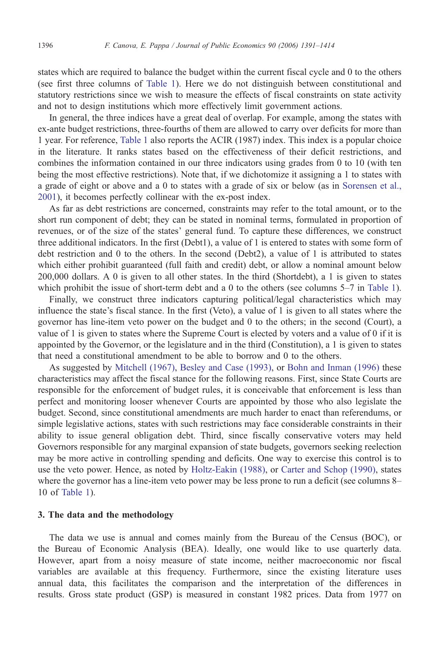states which are required to balance the budget within the current fiscal cycle and 0 to the others (see first three columns of Ta[ble 1\). H](#page-4-0)ere we do not distinguish between constitutional and statutory restrictions since we wish to measure the effects of fiscal constraints on state activity and not to design institutions which more effectively limit government actions.

In general, the three indices have a great deal of overlap. For example, among the states with ex-ante budget restrictions, three-fourths of them are allowed to carry over deficits for more than 1 year. For reference, Ta[ble 1](#page-4-0) also reports the ACIR (1987) index. This index is a popular choice in the literature. It ranks states based on the effectiveness of their deficit restrictions, and combines the information contained in our three indicators using grades from 0 to 10 (with ten being the most effective restrictions). Note that, if we dichotomize it assigning a 1 to states with a grade of eight or above and a 0 to states with a grade of six or below (as in So[rensen et a](#page-23-0)l., 2001), it becomes perfectly collinear with the ex-post index.

As far as debt restrictions are concerned, constraints may refer to the total amount, or to the short run component of debt; they can be stated in nominal terms, formulated in proportion of revenues, or of the size of the states' general fund. To capture these differences, we construct three additional indicators. In the first (Debt1), a value of 1 is entered to states with some form of debt restriction and 0 to the others. In the second (Debt2), a value of 1 is attributed to states which either prohibit guaranteed (full faith and credit) debt, or allow a nominal amount below 200,000 dollars. A 0 is given to all other states. In the third (Shortdebt), a 1 is given to states which prohibit the issue of short-term debt and a 0 to the others (see columns 5–7 in Ta[ble 1\).](#page-4-0)

Finally, we construct three indicators capturing political/legal characteristics which may influence the state's fiscal stance. In the first (Veto), a value of 1 is given to all states where the governor has line-item veto power on the budget and 0 to the others; in the second (Court), a value of 1 is given to states where the Supreme Court is elected by voters and a value of 0 if it is appointed by the Governor, or the legislature and in the third (Constitution), a 1 is given to states that need a constitutional amendment to be able to borrow and 0 to the others.

As suggested by Mi[tchell \(1967\),](#page-23-0) Be[sley and Case \(1993\), or](#page-22-0) Bo[hn and Inman \(1996\)](#page-22-0) these characteristics may affect the fiscal stance for the following reasons. First, since State Courts are responsible for the enforcement of budget rules, it is conceivable that enforcement is less than perfect and monitoring looser whenever Courts are appointed by those who also legislate the budget. Second, since constitutional amendments are much harder to enact than referendums, or simple legislative actions, states with such restrictions may face considerable constraints in their ability to issue general obligation debt. Third, since fiscally conservative voters may held Governors responsible for any marginal expansion of state budgets, governors seeking reelection may be more active in controlling spending and deficits. One way to exercise this control is to use the veto power. Hence, as noted by Ho[ltz-Eakin \(1988\), or](#page-23-0) Ca[rter and Schop \(1990\), sta](#page-22-0)tes where the governor has a line-item veto power may be less prone to run a deficit (see columns 8– 10 of Ta[ble 1\).](#page-4-0)

## 3. The data and the methodology

The data we use is annual and comes mainly from the Bureau of the Census (BOC), or the Bureau of Economic Analysis (BEA). Ideally, one would like to use quarterly data. However, apart from a noisy measure of state income, neither macroeconomic nor fiscal variables are available at this frequency. Furthermore, since the existing literature uses annual data, this facilitates the comparison and the interpretation of the differences in results. Gross state product (GSP) is measured in constant 1982 prices. Data from 1977 on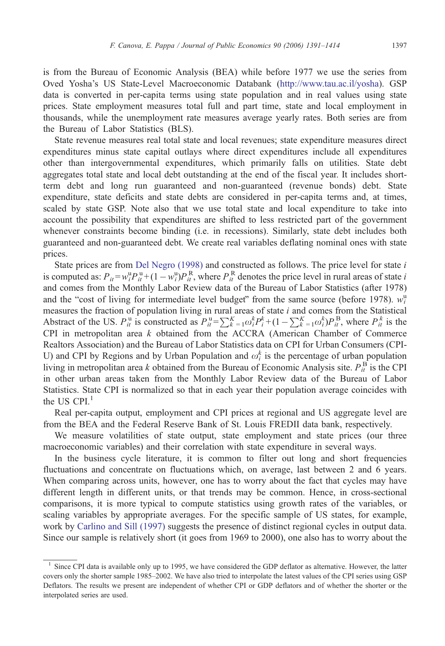is from the Bureau of Economic Analysis (BEA) while before 1977 we use the series from Oved Yosha's US State-Level Macroeconomic Databank (htt[p://www.tau.ac.il/yosha\). G](http://www.tau.ac.il/yosha)SP data is converted in per-capita terms using state population and in real values using state prices. State employment measures total full and part time, state and local employment in thousands, while the unemployment rate measures average yearly rates. Both series are from the Bureau of Labor Statistics (BLS).

State revenue measures real total state and local revenues; state expenditure measures direct expenditures minus state capital outlays where direct expenditures include all expenditures other than intergovernmental expenditures, which primarily falls on utilities. State debt aggregates total state and local debt outstanding at the end of the fiscal year. It includes shortterm debt and long run guaranteed and non-guaranteed (revenue bonds) debt. State expenditure, state deficits and state debts are considered in per-capita terms and, at times, scaled by state GSP. Note also that we use total state and local expenditure to take into account the possibility that expenditures are shifted to less restricted part of the government whenever constraints become binding (i.e. in recessions). Similarly, state debt includes both guaranteed and non-guaranteed debt. We create real variables deflating nominal ones with state prices.

State prices are from Del Negro  $(1998)$  and constructed as follows. The price level for state i is computed as:  $P_{it} = w_i^u P_{it}^u + (1 - w_i^u) P_{it}^R$ , where  $P_{it}^R$  denotes the price level in rural areas of state i and comes from the Monthly Labor Review data of the Bureau of Labor Statistics (after 1978) and the "cost of living for intermediate level budget" from the same source (before 1978).  $w_i^u$ measures the fraction of population living in rural areas of state  $i$  and comes from the Statistical Abstract of the US.  $P_{it}^{\text{u}}$  is constructed as  $P_{it}^{\text{u}} = \sum_{k=1}^{K} \omega_i^k P_i^k + (1 - \sum_{k=1}^{K} \omega_i^k) P_{it}^{\text{B}}$ , where  $P_{it}^{\text{k}}$  is the CPI in metropolitan area k obtained from the ACCRA (American Chamber of Commerce Realtors Association) and the Bureau of Labor Statistics data on CPI for Urban Consumers (CPI-U) and CPI by Regions and by Urban Population and  $\omega_i^k$  is the percentage of urban population living in metropolitan area k obtained from the Bureau of Economic Analysis site.  $P_{it}^{B}$  is the CPI in other urban areas taken from the Monthly Labor Review data of the Bureau of Labor Statistics. State CPI is normalized so that in each year their population average coincides with the US  $CPI<sup>1</sup>$ 

Real per-capita output, employment and CPI prices at regional and US aggregate level are from the BEA and the Federal Reserve Bank of St. Louis FREDII data bank, respectively.

We measure volatilities of state output, state employment and state prices (our three macroeconomic variables) and their correlation with state expenditure in several ways.

In the business cycle literature, it is common to filter out long and short frequencies fluctuations and concentrate on fluctuations which, on average, last between 2 and 6 years. When comparing across units, however, one has to worry about the fact that cycles may have different length in different units, or that trends may be common. Hence, in cross-sectional comparisons, it is more typical to compute statistics using growth rates of the variables, or scaling variables by appropriate averages. For the specific sample of US states, for example, work by Ca[rlino and Sill \(1997\)](#page-22-0) suggests the presence of distinct regional cycles in output data. Since our sample is relatively short (it goes from 1969 to 2000), one also has to worry about the

Since CPI data is available only up to 1995, we have considered the GDP deflator as alternative. However, the latter covers only the shorter sample 1985–2002. We have also tried to interpolate the latest values of the CPI series using GSP Deflators. The results we present are independent of whether CPI or GDP deflators and of whether the shorter or the interpolated series are used.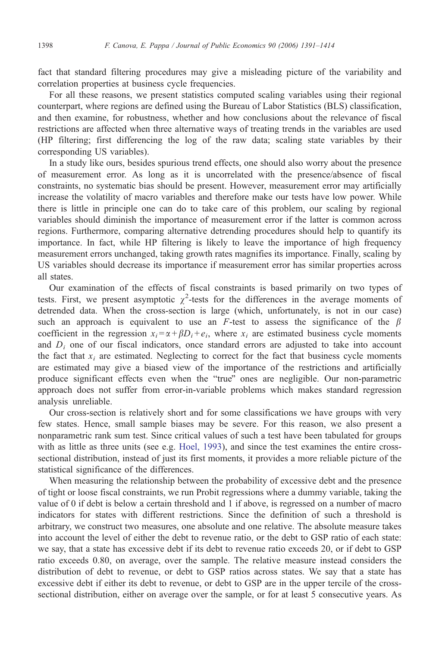fact that standard filtering procedures may give a misleading picture of the variability and correlation properties at business cycle frequencies.

For all these reasons, we present statistics computed scaling variables using their regional counterpart, where regions are defined using the Bureau of Labor Statistics (BLS) classification, and then examine, for robustness, whether and how conclusions about the relevance of fiscal restrictions are affected when three alternative ways of treating trends in the variables are used (HP filtering; first differencing the log of the raw data; scaling state variables by their corresponding US variables).

In a study like ours, besides spurious trend effects, one should also worry about the presence of measurement error. As long as it is uncorrelated with the presence/absence of fiscal constraints, no systematic bias should be present. However, measurement error may artificially increase the volatility of macro variables and therefore make our tests have low power. While there is little in principle one can do to take care of this problem, our scaling by regional variables should diminish the importance of measurement error if the latter is common across regions. Furthermore, comparing alternative detrending procedures should help to quantify its importance. In fact, while HP filtering is likely to leave the importance of high frequency measurement errors unchanged, taking growth rates magnifies its importance. Finally, scaling by US variables should decrease its importance if measurement error has similar properties across all states.

Our examination of the effects of fiscal constraints is based primarily on two types of tests. First, we present asymptotic  $\chi^2$ -tests for the differences in the average moments of detrended data. When the cross-section is large (which, unfortunately, is not in our case) such an approach is equivalent to use an F-test to assess the significance of the  $\beta$ coefficient in the regression  $x_i = \alpha + \beta D_i + e_i$ , where  $x_i$  are estimated business cycle moments and  $D_i$  one of our fiscal indicators, once standard errors are adjusted to take into account the fact that  $x_i$  are estimated. Neglecting to correct for the fact that business cycle moments are estimated may give a biased view of the importance of the restrictions and artificially produce significant effects even when the "true" ones are negligible. Our non-parametric approach does not suffer from error-in-variable problems which makes standard regression analysis unreliable.

Our cross-section is relatively short and for some classifications we have groups with very few states. Hence, small sample biases may be severe. For this reason, we also present a nonparametric rank sum test. Since critical values of such a test have been tabulated for groups with as little as three units (see e.g. Ho[el, 1993\), an](#page-23-0)d since the test examines the entire crosssectional distribution, instead of just its first moments, it provides a more reliable picture of the statistical significance of the differences.

When measuring the relationship between the probability of excessive debt and the presence of tight or loose fiscal constraints, we run Probit regressions where a dummy variable, taking the value of 0 if debt is below a certain threshold and 1 if above, is regressed on a number of macro indicators for states with different restrictions. Since the definition of such a threshold is arbitrary, we construct two measures, one absolute and one relative. The absolute measure takes into account the level of either the debt to revenue ratio, or the debt to GSP ratio of each state: we say, that a state has excessive debt if its debt to revenue ratio exceeds 20, or if debt to GSP ratio exceeds 0.80, on average, over the sample. The relative measure instead considers the distribution of debt to revenue, or debt to GSP ratios across states. We say that a state has excessive debt if either its debt to revenue, or debt to GSP are in the upper tercile of the crosssectional distribution, either on average over the sample, or for at least 5 consecutive years. As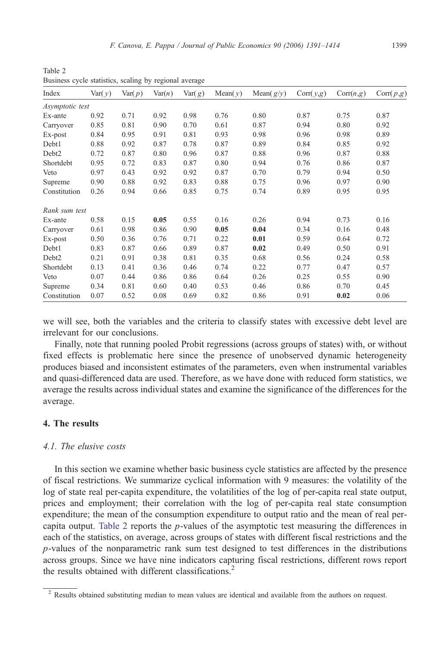Index  $Var(y)$   $Var(p)$   $Var(n)$   $Var(g)$   $Mean(y)$   $Mean(g/y)$   $Corr(y,g)$   $Corr(n,g)$   $Corr(p,g)$ Asymptotic test Ex-ante 0.92 0.71 0.92 0.98 0.76 0.80 0.87 0.75 0.87 Carryover 0.85 0.81 0.90 0.70 0.61 0.87 0.94 0.80 0.92 Ex-post 0.84 0.95 0.91 0.81 0.93 0.98 0.96 0.98 0.89 Debt1 0.88 0.92 0.87 0.78 0.87 0.89 0.84 0.85 0.92 Debt2 0.72 0.87 0.80 0.96 0.87 0.88 0.96 0.87 0.88 Shortdebt 0.95 0.72 0.83 0.87 0.80 0.94 0.76 0.86 0.87 Veto 0.97 0.43 0.92 0.92 0.87 0.70 0.79 0.94 0.50 Supreme 0.90 0.88 0.92 0.83 0.88 0.75 0.96 0.97 0.90 Constitution 0.26 0.94 0.66 0.85 0.75 0.74 0.89 0.95 0.95 Rank sum test Ex-ante 0.58 0.15 0.05 0.55 0.16 0.26 0.94 0.73 0.16 Carryover 0.61 0.98 0.86 0.90 0.05 0.04 0.34 0.16 0.48 Ex-post 0.50 0.36 0.76 0.71 0.22 0.01 0.59 0.64 0.72 Debt1 0.83 0.87 0.66 0.89 0.87 0.02 0.49 0.50 0.91 Debt2 0.21 0.91 0.38 0.81 0.35 0.68 0.56 0.24 0.58 Shortdebt 0.13 0.41 0.36 0.46 0.74 0.22 0.77 0.47 0.57 Veto 0.07 0.44 0.86 0.86 0.64 0.26 0.25 0.55 0.90 Supreme 0.34 0.81 0.60 0.40 0.53 0.46 0.86 0.70 0.45 Constitution 0.07 0.52 0.08 0.69 0.82 0.86 0.91 0.02 0.06

<span id="page-8-0"></span>Table 2 Business cycle statistics, scaling by regional average

we will see, both the variables and the criteria to classify states with excessive debt level are irrelevant for our conclusions.

Finally, note that running pooled Probit regressions (across groups of states) with, or without fixed effects is problematic here since the presence of unobserved dynamic heterogeneity produces biased and inconsistent estimates of the parameters, even when instrumental variables and quasi-differenced data are used. Therefore, as we have done with reduced form statistics, we average the results across individual states and examine the significance of the differences for the average.

# 4. The results

# 4.1. The elusive costs

In this section we examine whether basic business cycle statistics are affected by the presence of fiscal restrictions. We summarize cyclical information with 9 measures: the volatility of the log of state real per-capita expenditure, the volatilities of the log of per-capita real state output, prices and employment; their correlation with the log of per-capita real state consumption expenditure; the mean of the consumption expenditure to output ratio and the mean of real percapita output. Table 2 reports the p-values of the asymptotic test measuring the differences in each of the statistics, on average, across groups of states with different fiscal restrictions and the p-values of the nonparametric rank sum test designed to test differences in the distributions across groups. Since we have nine indicators capturing fiscal restrictions, different rows report the results obtained with different classifications.<sup>2</sup>

<sup>&</sup>lt;sup>2</sup> Results obtained substituting median to mean values are identical and available from the authors on request.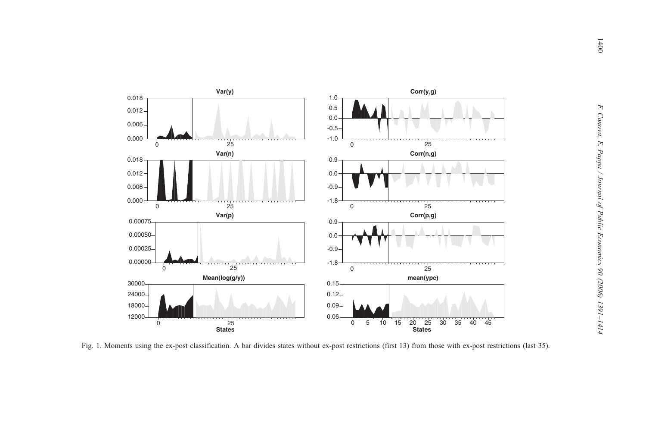<span id="page-9-0"></span>

Fig. 1. Moments using the ex-pos<sup>t</sup> classification. A bar divides states without ex-pos<sup>t</sup> restrictions (first 13) from those with ex-pos<sup>t</sup> restrictions (last 35).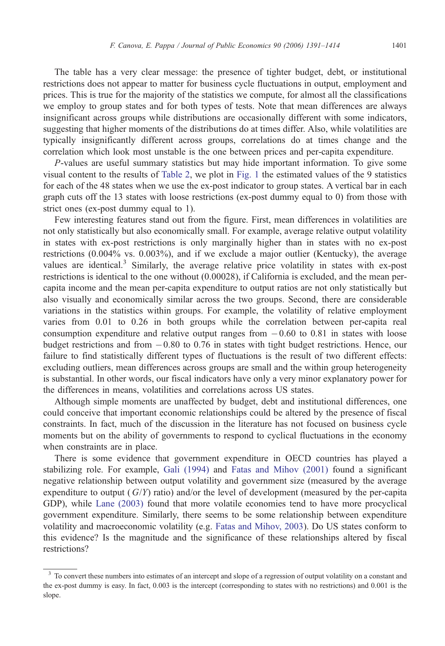The table has a very clear message: the presence of tighter budget, debt, or institutional restrictions does not appear to matter for business cycle fluctuations in output, employment and prices. This is true for the majority of the statistics we compute, for almost all the classifications we employ to group states and for both types of tests. Note that mean differences are always insignificant across groups while distributions are occasionally different with some indicators, suggesting that higher moments of the distributions do at times differ. Also, while volatilities are typically insignificantly different across groups, correlations do at times change and the correlation which look most unstable is the one between prices and per-capita expenditure.

P-values are useful summary statistics but may hide important information. To give some visual content to the results of Ta[ble 2, w](#page-8-0)e plot in Fi[g. 1](#page-9-0) the estimated values of the 9 statistics for each of the 48 states when we use the ex-post indicator to group states. A vertical bar in each graph cuts off the 13 states with loose restrictions (ex-post dummy equal to 0) from those with strict ones (ex-post dummy equal to 1).

Few interesting features stand out from the figure. First, mean differences in volatilities are not only statistically but also economically small. For example, average relative output volatility in states with ex-post restrictions is only marginally higher than in states with no ex-post restrictions (0.004% vs. 0.003%), and if we exclude a major outlier (Kentucky), the average values are identical.<sup>3</sup> Similarly, the average relative price volatility in states with ex-post restrictions is identical to the one without (0.00028), if California is excluded, and the mean percapita income and the mean per-capita expenditure to output ratios are not only statistically but also visually and economically similar across the two groups. Second, there are considerable variations in the statistics within groups. For example, the volatility of relative employment varies from 0.01 to 0.26 in both groups while the correlation between per-capita real consumption expenditure and relative output ranges from  $-0.60$  to 0.81 in states with loose budget restrictions and from -0.80 to 0.76 in states with tight budget restrictions. Hence, our failure to find statistically different types of fluctuations is the result of two different effects: excluding outliers, mean differences across groups are small and the within group heterogeneity is substantial. In other words, our fiscal indicators have only a very minor explanatory power for the differences in means, volatilities and correlations across US states.

Although simple moments are unaffected by budget, debt and institutional differences, one could conceive that important economic relationships could be altered by the presence of fiscal constraints. In fact, much of the discussion in the literature has not focused on business cycle moments but on the ability of governments to respond to cyclical fluctuations in the economy when constraints are in place.

There is some evidence that government expenditure in OECD countries has played a stabilizing role. For example, Ga[li \(1994\)](#page-23-0) and Fat[as and Mihov \(2001\)](#page-23-0) found a significant negative relationship between output volatility and government size (measured by the average expenditure to output  $(G/Y)$  ratio) and/or the level of development (measured by the per-capita GDP), while La[ne \(2003\)](#page-23-0) found that more volatile economies tend to have more procyclical government expenditure. Similarly, there seems to be some relationship between expenditure volatility and macroeconomic volatility (e.g. Fa[tas and Mihov, 2003\). D](#page-23-0)o US states conform to this evidence? Is the magnitude and the significance of these relationships altered by fiscal restrictions?

<sup>&</sup>lt;sup>3</sup> To convert these numbers into estimates of an intercept and slope of a regression of output volatility on a constant and the ex-post dummy is easy. In fact, 0.003 is the intercept (corresponding to states with no restrictions) and 0.001 is the slope.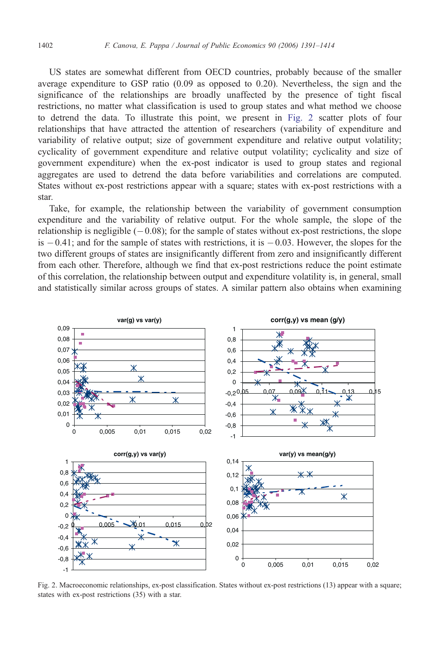<span id="page-11-0"></span>US states are somewhat different from OECD countries, probably because of the smaller average expenditure to GSP ratio (0.09 as opposed to 0.20). Nevertheless, the sign and the significance of the relationships are broadly unaffected by the presence of tight fiscal restrictions, no matter what classification is used to group states and what method we choose to detrend the data. To illustrate this point, we present in Fig. 2 scatter plots of four relationships that have attracted the attention of researchers (variability of expenditure and variability of relative output; size of government expenditure and relative output volatility; cyclicality of government expenditure and relative output volatility; cyclicality and size of government expenditure) when the ex-post indicator is used to group states and regional aggregates are used to detrend the data before variabilities and correlations are computed. States without ex-post restrictions appear with a square; states with ex-post restrictions with a star.

Take, for example, the relationship between the variability of government consumption expenditure and the variability of relative output. For the whole sample, the slope of the relationship is negligible  $(-0.08)$ ; for the sample of states without ex-post restrictions, the slope  $i\sin(\theta) = -0.41$ ; and for the sample of states with restrictions, it is  $-0.03$ . However, the slopes for the two different groups of states are insignificantly different from zero and insignificantly different from each other. Therefore, although we find that ex-post restrictions reduce the point estimate of this correlation, the relationship between output and expenditure volatility is, in general, small and statistically similar across groups of states. A similar pattern also obtains when examining



Fig. 2. Macroeconomic relationships, ex-post classification. States without ex-post restrictions (13) appear with a square; states with ex-post restrictions (35) with a star.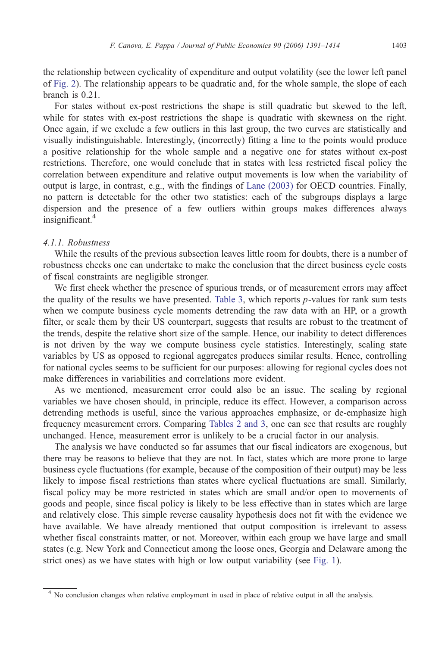the relationship between cyclicality of expenditure and output volatility (see the lower left panel of Fi[g. 2\). T](#page-11-0)he relationship appears to be quadratic and, for the whole sample, the slope of each branch is 0.21.

For states without ex-post restrictions the shape is still quadratic but skewed to the left, while for states with ex-post restrictions the shape is quadratic with skewness on the right. Once again, if we exclude a few outliers in this last group, the two curves are statistically and visually indistinguishable. Interestingly, (incorrectly) fitting a line to the points would produce a positive relationship for the whole sample and a negative one for states without ex-post restrictions. Therefore, one would conclude that in states with less restricted fiscal policy the correlation between expenditure and relative output movements is low when the variability of output is large, in contrast, e.g., with the findings of La[ne \(2003\)](#page-23-0) for OECD countries. Finally, no pattern is detectable for the other two statistics: each of the subgroups displays a large dispersion and the presence of a few outliers within groups makes differences always insignificant.<sup>4</sup>

## 4.1.1. Robustness

While the results of the previous subsection leaves little room for doubts, there is a number of robustness checks one can undertake to make the conclusion that the direct business cycle costs of fiscal constraints are negligible stronger.

We first check whether the presence of spurious trends, or of measurement errors may affect the quality of the results we have presented. Ta[ble 3, w](#page-13-0)hich reports  $p$ -values for rank sum tests when we compute business cycle moments detrending the raw data with an HP, or a growth filter, or scale them by their US counterpart, suggests that results are robust to the treatment of the trends, despite the relative short size of the sample. Hence, our inability to detect differences is not driven by the way we compute business cycle statistics. Interestingly, scaling state variables by US as opposed to regional aggregates produces similar results. Hence, controlling for national cycles seems to be sufficient for our purposes: allowing for regional cycles does not make differences in variabilities and correlations more evident.

As we mentioned, measurement error could also be an issue. The scaling by regional variables we have chosen should, in principle, reduce its effect. However, a comparison across detrending methods is useful, since the various approaches emphasize, or de-emphasize high frequency measurement errors. Comparing Ta[bles 2 and 3, on](#page-8-0)e can see that results are roughly unchanged. Hence, measurement error is unlikely to be a crucial factor in our analysis.

The analysis we have conducted so far assumes that our fiscal indicators are exogenous, but there may be reasons to believe that they are not. In fact, states which are more prone to large business cycle fluctuations (for example, because of the composition of their output) may be less likely to impose fiscal restrictions than states where cyclical fluctuations are small. Similarly, fiscal policy may be more restricted in states which are small and/or open to movements of goods and people, since fiscal policy is likely to be less effective than in states which are large and relatively close. This simple reverse causality hypothesis does not fit with the evidence we have available. We have already mentioned that output composition is irrelevant to assess whether fiscal constraints matter, or not. Moreover, within each group we have large and small states (e.g. New York and Connecticut among the loose ones, Georgia and Delaware among the strict ones) as we have states with high or low output variability (see Fi[g. 1\).](#page-9-0)

<sup>&</sup>lt;sup>4</sup> No conclusion changes when relative employment in used in place of relative output in all the analysis.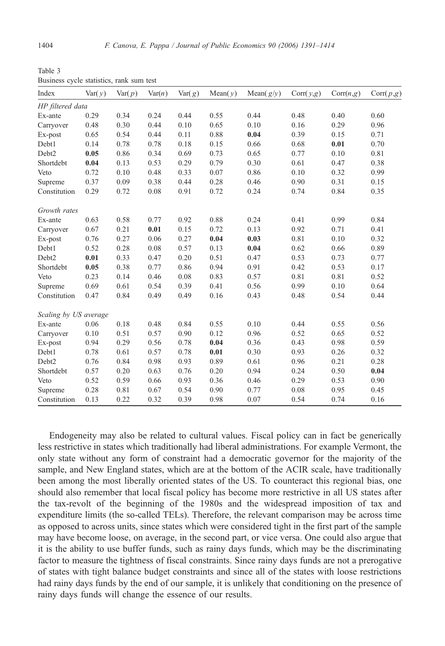<span id="page-13-0"></span>Table 3 Business cycle statistics, rank sum test

| Index                 | Var $(v)$ | Var(p)   | Var(n) | Var(g) | Mean( $\nu$ ) | Mean $(g/y)$ | Corr(y,g) | Corr(n,g) | Corr(p,g) |
|-----------------------|-----------|----------|--------|--------|---------------|--------------|-----------|-----------|-----------|
| HP filtered data      |           |          |        |        |               |              |           |           |           |
| Ex-ante               | 0.29      | 0.34     | 0.24   | 0.44   | 0.55          | 0.44         | 0.48      | 0.40      | 0.60      |
| Carryover             | 0.48      | $0.30\,$ | 0.44   | 0.10   | 0.65          | 0.10         | 0.16      | 0.29      | 0.96      |
| Ex-post               | 0.65      | 0.54     | 0.44   | 0.11   | 0.88          | 0.04         | 0.39      | 0.15      | 0.71      |
| Debt1                 | 0.14      | 0.78     | 0.78   | 0.18   | 0.15          | 0.66         | 0.68      | 0.01      | 0.70      |
| Debt2                 | 0.05      | 0.86     | 0.34   | 0.69   | 0.73          | 0.65         | 0.77      | 0.10      | 0.81      |
| Shortdebt             | 0.04      | 0.13     | 0.53   | 0.29   | 0.79          | 0.30         | 0.61      | 0.47      | 0.38      |
| Veto                  | 0.72      | 0.10     | 0.48   | 0.33   | 0.07          | 0.86         | 0.10      | 0.32      | 0.99      |
| Supreme               | 0.37      | 0.09     | 0.38   | 0.44   | 0.28          | 0.46         | 0.90      | 0.31      | 0.15      |
| Constitution          | 0.29      | 0.72     | 0.08   | 0.91   | 0.72          | 0.24         | 0.74      | 0.84      | 0.35      |
| Growth rates          |           |          |        |        |               |              |           |           |           |
| Ex-ante               | 0.63      | 0.58     | 0.77   | 0.92   | 0.88          | 0.24         | 0.41      | 0.99      | 0.84      |
| Carryover             | 0.67      | 0.21     | 0.01   | 0.15   | 0.72          | 0.13         | 0.92      | 0.71      | 0.41      |
| Ex-post               | 0.76      | 0.27     | 0.06   | 0.27   | 0.04          | 0.03         | 0.81      | 0.10      | 0.32      |
| Debt1                 | 0.52      | 0.28     | 0.08   | 0.57   | 0.13          | 0.04         | 0.62      | 0.66      | 0.89      |
| Debt2                 | 0.01      | 0.33     | 0.47   | 0.20   | 0.51          | 0.47         | 0.53      | 0.73      | 0.77      |
| Shortdebt             | 0.05      | 0.38     | 0.77   | 0.86   | 0.94          | 0.91         | 0.42      | 0.53      | 0.17      |
| Veto                  | 0.23      | 0.14     | 0.46   | 0.08   | 0.83          | 0.57         | 0.81      | 0.81      | 0.52      |
| Supreme               | 0.69      | 0.61     | 0.54   | 0.39   | 0.41          | 0.56         | 0.99      | 0.10      | 0.64      |
| Constitution          | 0.47      | 0.84     | 0.49   | 0.49   | 0.16          | 0.43         | 0.48      | 0.54      | 0.44      |
| Scaling by US average |           |          |        |        |               |              |           |           |           |
| Ex-ante               | 0.06      | 0.18     | 0.48   | 0.84   | 0.55          | 0.10         | 0.44      | 0.55      | 0.56      |
| Carryover             | 0.10      | 0.51     | 0.57   | 0.90   | 0.12          | 0.96         | 0.52      | 0.65      | 0.52      |
| Ex-post               | 0.94      | 0.29     | 0.56   | 0.78   | 0.04          | 0.36         | 0.43      | 0.98      | 0.59      |
| Debt1                 | 0.78      | 0.61     | 0.57   | 0.78   | 0.01          | 0.30         | 0.93      | 0.26      | 0.32      |
| Debt2                 | 0.76      | 0.84     | 0.98   | 0.93   | 0.89          | 0.61         | 0.96      | 0.21      | 0.28      |
| Shortdebt             | 0.57      | 0.20     | 0.63   | 0.76   | 0.20          | 0.94         | 0.24      | 0.50      | 0.04      |
| Veto                  | 0.52      | 0.59     | 0.66   | 0.93   | 0.36          | 0.46         | 0.29      | 0.53      | 0.90      |
| Supreme               | 0.28      | 0.81     | 0.67   | 0.54   | 0.90          | 0.77         | 0.08      | 0.95      | 0.45      |
| Constitution          | 0.13      | 0.22     | 0.32   | 0.39   | 0.98          | 0.07         | 0.54      | 0.74      | 0.16      |

Endogeneity may also be related to cultural values. Fiscal policy can in fact be generically less restrictive in states which traditionally had liberal administrations. For example Vermont, the only state without any form of constraint had a democratic governor for the majority of the sample, and New England states, which are at the bottom of the ACIR scale, have traditionally been among the most liberally oriented states of the US. To counteract this regional bias, one should also remember that local fiscal policy has become more restrictive in all US states after the tax-revolt of the beginning of the 1980s and the widespread imposition of tax and expenditure limits (the so-called TELs). Therefore, the relevant comparison may be across time as opposed to across units, since states which were considered tight in the first part of the sample may have become loose, on average, in the second part, or vice versa. One could also argue that it is the ability to use buffer funds, such as rainy days funds, which may be the discriminating factor to measure the tightness of fiscal constraints. Since rainy days funds are not a prerogative of states with tight balance budget constraints and since all of the states with loose restrictions had rainy days funds by the end of our sample, it is unlikely that conditioning on the presence of rainy days funds will change the essence of our results.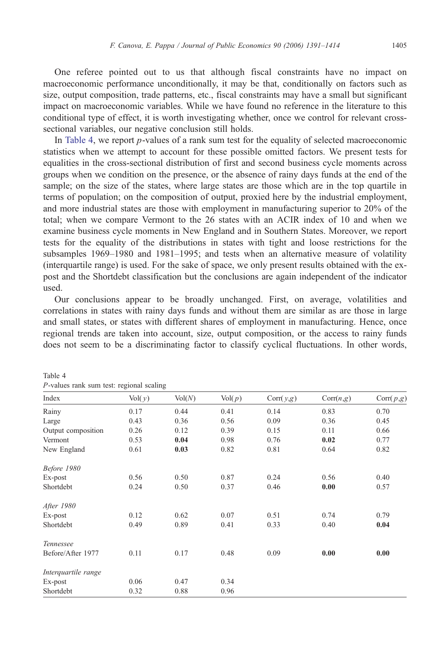<span id="page-14-0"></span>One referee pointed out to us that although fiscal constraints have no impact on macroeconomic performance unconditionally, it may be that, conditionally on factors such as size, output composition, trade patterns, etc., fiscal constraints may have a small but significant impact on macroeconomic variables. While we have found no reference in the literature to this conditional type of effect, it is worth investigating whether, once we control for relevant crosssectional variables, our negative conclusion still holds.

In Table 4, we report  $p$ -values of a rank sum test for the equality of selected macroeconomic statistics when we attempt to account for these possible omitted factors. We present tests for equalities in the cross-sectional distribution of first and second business cycle moments across groups when we condition on the presence, or the absence of rainy days funds at the end of the sample; on the size of the states, where large states are those which are in the top quartile in terms of population; on the composition of output, proxied here by the industrial employment, and more industrial states are those with employment in manufacturing superior to 20% of the total; when we compare Vermont to the 26 states with an ACIR index of 10 and when we examine business cycle moments in New England and in Southern States. Moreover, we report tests for the equality of the distributions in states with tight and loose restrictions for the subsamples 1969–1980 and 1981–1995; and tests when an alternative measure of volatility (interquartile range) is used. For the sake of space, we only present results obtained with the expost and the Shortdebt classification but the conclusions are again independent of the indicator used.

Our conclusions appear to be broadly unchanged. First, on average, volatilities and correlations in states with rainy days funds and without them are similar as are those in large and small states, or states with different shares of employment in manufacturing. Hence, once regional trends are taken into account, size, output composition, or the access to rainy funds does not seem to be a discriminating factor to classify cyclical fluctuations. In other words,

| Index               | Vol(y) | Vol(N) | Vol(p) | Corr(y,g) | Corr(n,g) | Corr(p,g) |
|---------------------|--------|--------|--------|-----------|-----------|-----------|
| Rainy               | 0.17   | 0.44   | 0.41   | 0.14      | 0.83      | 0.70      |
| Large               | 0.43   | 0.36   | 0.56   | 0.09      | 0.36      | 0.45      |
| Output composition  | 0.26   | 0.12   | 0.39   | 0.15      | 0.11      | 0.66      |
| Vermont             | 0.53   | 0.04   | 0.98   | 0.76      | 0.02      | 0.77      |
| New England         | 0.61   | 0.03   | 0.82   | 0.81      | 0.64      | 0.82      |
| Before 1980         |        |        |        |           |           |           |
| Ex-post             | 0.56   | 0.50   | 0.87   | 0.24      | 0.56      | 0.40      |
| Shortdebt           | 0.24   | 0.50   | 0.37   | 0.46      | 0.00      | 0.57      |
| After 1980          |        |        |        |           |           |           |
| Ex-post             | 0.12   | 0.62   | 0.07   | 0.51      | 0.74      | 0.79      |
| Shortdebt           | 0.49   | 0.89   | 0.41   | 0.33      | 0.40      | 0.04      |
| <b>Tennessee</b>    |        |        |        |           |           |           |
| Before/After 1977   | 0.11   | 0.17   | 0.48   | 0.09      | 0.00      | 0.00      |
| Interquartile range |        |        |        |           |           |           |
| Ex-post             | 0.06   | 0.47   | 0.34   |           |           |           |
| Shortdebt           | 0.32   | 0.88   | 0.96   |           |           |           |

Table 4 P-values rank sum test: regional scaling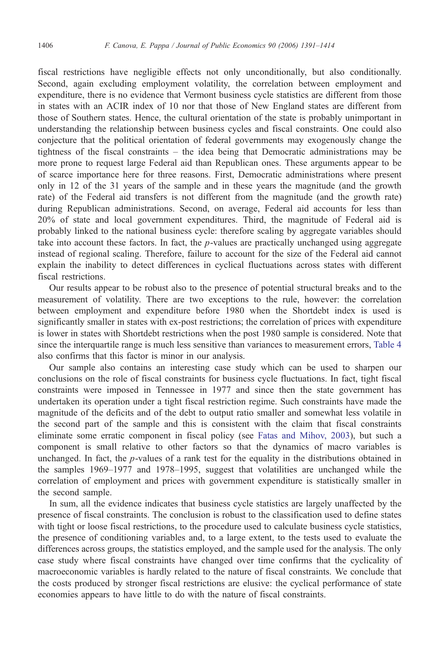fiscal restrictions have negligible effects not only unconditionally, but also conditionally. Second, again excluding employment volatility, the correlation between employment and expenditure, there is no evidence that Vermont business cycle statistics are different from those in states with an ACIR index of 10 nor that those of New England states are different from those of Southern states. Hence, the cultural orientation of the state is probably unimportant in understanding the relationship between business cycles and fiscal constraints. One could also conjecture that the political orientation of federal governments may exogenously change the tightness of the fiscal constraints – the idea being that Democratic administrations may be more prone to request large Federal aid than Republican ones. These arguments appear to be of scarce importance here for three reasons. First, Democratic administrations where present only in 12 of the 31 years of the sample and in these years the magnitude (and the growth rate) of the Federal aid transfers is not different from the magnitude (and the growth rate) during Republican administrations. Second, on average, Federal aid accounts for less than 20% of state and local government expenditures. Third, the magnitude of Federal aid is probably linked to the national business cycle: therefore scaling by aggregate variables should take into account these factors. In fact, the  $p$ -values are practically unchanged using aggregate instead of regional scaling. Therefore, failure to account for the size of the Federal aid cannot explain the inability to detect differences in cyclical fluctuations across states with different fiscal restrictions.

Our results appear to be robust also to the presence of potential structural breaks and to the measurement of volatility. There are two exceptions to the rule, however: the correlation between employment and expenditure before 1980 when the Shortdebt index is used is significantly smaller in states with ex-post restrictions; the correlation of prices with expenditure is lower in states with Shortdebt restrictions when the post 1980 sample is considered. Note that since the interquartile range is much less sensitive than variances to measurement errors, Ta[ble 4](#page-14-0) also confirms that this factor is minor in our analysis.

Our sample also contains an interesting case study which can be used to sharpen our conclusions on the role of fiscal constraints for business cycle fluctuations. In fact, tight fiscal constraints were imposed in Tennessee in 1977 and since then the state government has undertaken its operation under a tight fiscal restriction regime. Such constraints have made the magnitude of the deficits and of the debt to output ratio smaller and somewhat less volatile in the second part of the sample and this is consistent with the claim that fiscal constraints eliminate some erratic component in fiscal policy (see Fat[as and Mihov, 2003\), b](#page-23-0)ut such a component is small relative to other factors so that the dynamics of macro variables is unchanged. In fact, the  $p$ -values of a rank test for the equality in the distributions obtained in the samples 1969–1977 and 1978–1995, suggest that volatilities are unchanged while the correlation of employment and prices with government expenditure is statistically smaller in the second sample.

In sum, all the evidence indicates that business cycle statistics are largely unaffected by the presence of fiscal constraints. The conclusion is robust to the classification used to define states with tight or loose fiscal restrictions, to the procedure used to calculate business cycle statistics, the presence of conditioning variables and, to a large extent, to the tests used to evaluate the differences across groups, the statistics employed, and the sample used for the analysis. The only case study where fiscal constraints have changed over time confirms that the cyclicality of macroeconomic variables is hardly related to the nature of fiscal constraints. We conclude that the costs produced by stronger fiscal restrictions are elusive: the cyclical performance of state economies appears to have little to do with the nature of fiscal constraints.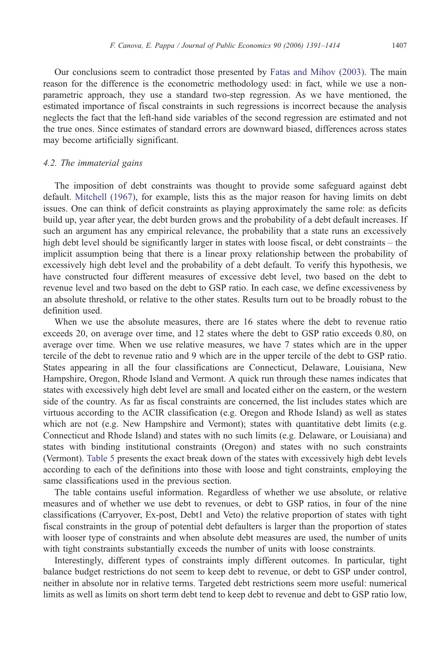Our conclusions seem to contradict those presented by Fat[as and Mihov \(2003\). Th](#page-23-0)e main reason for the difference is the econometric methodology used: in fact, while we use a nonparametric approach, they use a standard two-step regression. As we have mentioned, the estimated importance of fiscal constraints in such regressions is incorrect because the analysis neglects the fact that the left-hand side variables of the second regression are estimated and not the true ones. Since estimates of standard errors are downward biased, differences across states may become artificially significant.

#### 4.2. The immaterial gains

The imposition of debt constraints was thought to provide some safeguard against debt default. Mi[tchell \(1967\), fo](#page-23-0)r example, lists this as the major reason for having limits on debt issues. One can think of deficit constraints as playing approximately the same role: as deficits build up, year after year, the debt burden grows and the probability of a debt default increases. If such an argument has any empirical relevance, the probability that a state runs an excessively high debt level should be significantly larger in states with loose fiscal, or debt constraints – the implicit assumption being that there is a linear proxy relationship between the probability of excessively high debt level and the probability of a debt default. To verify this hypothesis, we have constructed four different measures of excessive debt level, two based on the debt to revenue level and two based on the debt to GSP ratio. In each case, we define excessiveness by an absolute threshold, or relative to the other states. Results turn out to be broadly robust to the definition used.

When we use the absolute measures, there are 16 states where the debt to revenue ratio exceeds 20, on average over time, and 12 states where the debt to GSP ratio exceeds 0.80, on average over time. When we use relative measures, we have 7 states which are in the upper tercile of the debt to revenue ratio and 9 which are in the upper tercile of the debt to GSP ratio. States appearing in all the four classifications are Connecticut, Delaware, Louisiana, New Hampshire, Oregon, Rhode Island and Vermont. A quick run through these names indicates that states with excessively high debt level are small and located either on the eastern, or the western side of the country. As far as fiscal constraints are concerned, the list includes states which are virtuous according to the ACIR classification (e.g. Oregon and Rhode Island) as well as states which are not (e.g. New Hampshire and Vermont); states with quantitative debt limits (e.g. Connecticut and Rhode Island) and states with no such limits (e.g. Delaware, or Louisiana) and states with binding institutional constraints (Oregon) and states with no such constraints (Vermont). Ta[ble 5](#page-17-0) presents the exact break down of the states with excessively high debt levels according to each of the definitions into those with loose and tight constraints, employing the same classifications used in the previous section.

The table contains useful information. Regardless of whether we use absolute, or relative measures and of whether we use debt to revenues, or debt to GSP ratios, in four of the nine classifications (Carryover, Ex-post, Debt1 and Veto) the relative proportion of states with tight fiscal constraints in the group of potential debt defaulters is larger than the proportion of states with looser type of constraints and when absolute debt measures are used, the number of units with tight constraints substantially exceeds the number of units with loose constraints.

Interestingly, different types of constraints imply different outcomes. In particular, tight balance budget restrictions do not seem to keep debt to revenue, or debt to GSP under control, neither in absolute nor in relative terms. Targeted debt restrictions seem more useful: numerical limits as well as limits on short term debt tend to keep debt to revenue and debt to GSP ratio low,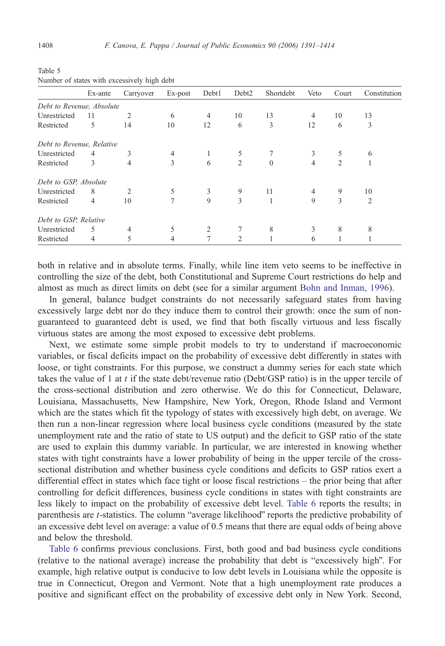|                           | Ex-ante        | Carryover      | Ex-post | Debt1          | Debt <sub>2</sub> | Shortdebt | Veto           | Court          | Constitution       |
|---------------------------|----------------|----------------|---------|----------------|-------------------|-----------|----------------|----------------|--------------------|
| Debt to Revenue, Absolute |                |                |         |                |                   |           |                |                |                    |
| Unrestricted              | 11             | 2              | 6       | $\overline{4}$ | 10                | 13        | $\overline{4}$ | 10             | 13                 |
| Restricted                | 5              | 14             | 10      | 12             | 6                 | 3         | 12             | 6              | 3                  |
| Debt to Revenue, Relative |                |                |         |                |                   |           |                |                |                    |
| Unrestricted              | $\overline{4}$ | 3              | 4       |                | 5                 |           | 3              | 5              | 6                  |
| Restricted                | 3              | $\overline{4}$ | 3       | 6              | $\overline{2}$    | $\theta$  | $\overline{4}$ | $\overline{2}$ | $\mathbf{1}$<br>л. |
| Debt to GSP, Absolute     |                |                |         |                |                   |           |                |                |                    |
| Unrestricted              | 8              | $\overline{c}$ | 5       | 3              | 9                 | 11        | 4              | 9              | 10                 |
| Restricted                | $\overline{4}$ | 10             | 7       | 9              | 3                 |           | 9              | 3              | $\overline{2}$     |
| Debt to GSP, Relative     |                |                |         |                |                   |           |                |                |                    |
| Unrestricted              | 5              | 4              | 5       |                |                   | 8         | 3              | 8              | 8                  |
| Restricted                | 4              | 5              | 4       | 7              | $\overline{c}$    |           | 6              |                |                    |

<span id="page-17-0"></span>

| Table 5                                     |  |  |
|---------------------------------------------|--|--|
| Number of states with excessively high debt |  |  |

both in relative and in absolute terms. Finally, while line item veto seems to be ineffective in controlling the size of the debt, both Constitutional and Supreme Court restrictions do help and almost as much as direct limits on debt (see for a similar argument Bo[hn and Inman, 1996\).](#page-22-0)

In general, balance budget constraints do not necessarily safeguard states from having excessively large debt nor do they induce them to control their growth: once the sum of nonguaranteed to guaranteed debt is used, we find that both fiscally virtuous and less fiscally virtuous states are among the most exposed to excessive debt problems.

Next, we estimate some simple probit models to try to understand if macroeconomic variables, or fiscal deficits impact on the probability of excessive debt differently in states with loose, or tight constraints. For this purpose, we construct a dummy series for each state which takes the value of 1 at t if the state debt/revenue ratio (Debt/GSP ratio) is in the upper tercile of the cross-sectional distribution and zero otherwise. We do this for Connecticut, Delaware, Louisiana, Massachusetts, New Hampshire, New York, Oregon, Rhode Island and Vermont which are the states which fit the typology of states with excessively high debt, on average. We then run a non-linear regression where local business cycle conditions (measured by the state unemployment rate and the ratio of state to US output) and the deficit to GSP ratio of the state are used to explain this dummy variable. In particular, we are interested in knowing whether states with tight constraints have a lower probability of being in the upper tercile of the crosssectional distribution and whether business cycle conditions and deficits to GSP ratios exert a differential effect in states which face tight or loose fiscal restrictions – the prior being that after controlling for deficit differences, business cycle conditions in states with tight constraints are less likely to impact on the probability of excessive debt level. Ta[ble 6](#page-18-0) reports the results; in parenthesis are t-statistics. The column "average likelihood" reports the predictive probability of an excessive debt level on average: a value of 0.5 means that there are equal odds of being above and below the threshold.

Ta[ble 6](#page-18-0) confirms previous conclusions. First, both good and bad business cycle conditions (relative to the national average) increase the probability that debt is "excessively high". For example, high relative output is conducive to low debt levels in Louisiana while the opposite is true in Connecticut, Oregon and Vermont. Note that a high unemployment rate produces a positive and significant effect on the probability of excessive debt only in New York. Second,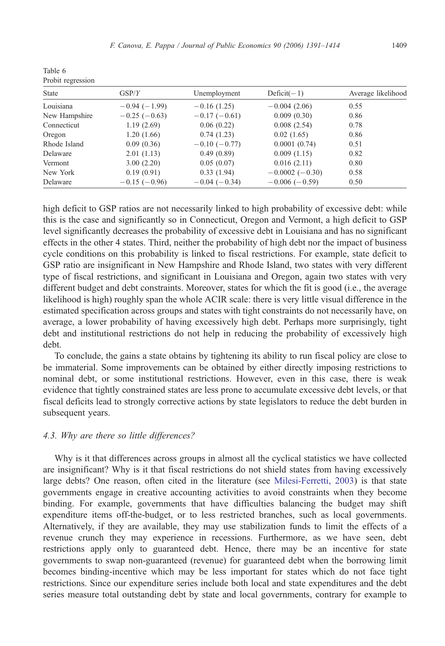| <b>ITOUR RELESSION</b> |                |                |                  |                    |  |  |  |  |
|------------------------|----------------|----------------|------------------|--------------------|--|--|--|--|
| <b>State</b>           | GSP/Y          | Unemployment   | $Deficit(-1)$    | Average likelihood |  |  |  |  |
| Louisiana              | $-0.94(-1.99)$ | $-0.16(1.25)$  | $-0.004(2.06)$   | 0.55               |  |  |  |  |
| New Hampshire          | $-0.25(-0.63)$ | $-0.17(-0.61)$ | 0.009(0.30)      | 0.86               |  |  |  |  |
| Connecticut            | 1.19(2.69)     | 0.06(0.22)     | 0.008(2.54)      | 0.78               |  |  |  |  |
| Oregon                 | 1.20(1.66)     | 0.74(1.23)     | 0.02(1.65)       | 0.86               |  |  |  |  |
| Rhode Island           | 0.09(0.36)     | $-0.10(-0.77)$ | 0.0001(0.74)     | 0.51               |  |  |  |  |
| Delaware               | 2.01(1.13)     | 0.49(0.89)     | 0.009(1.15)      | 0.82               |  |  |  |  |
| Vermont                | 3.00(2.20)     | 0.05(0.07)     | 0.016(2.11)      | 0.80               |  |  |  |  |
| New York               | 0.19(0.91)     | 0.33(1.94)     | $-0.0002(-0.30)$ | 0.58               |  |  |  |  |
| Delaware               | $-0.15(-0.96)$ | $-0.04(-0.34)$ | $-0.006(-0.59)$  | 0.50               |  |  |  |  |
|                        |                |                |                  |                    |  |  |  |  |

<span id="page-18-0"></span>Table 6 Probit regression

high deficit to GSP ratios are not necessarily linked to high probability of excessive debt: while this is the case and significantly so in Connecticut, Oregon and Vermont, a high deficit to GSP level significantly decreases the probability of excessive debt in Louisiana and has no significant effects in the other 4 states. Third, neither the probability of high debt nor the impact of business cycle conditions on this probability is linked to fiscal restrictions. For example, state deficit to GSP ratio are insignificant in New Hampshire and Rhode Island, two states with very different type of fiscal restrictions, and significant in Louisiana and Oregon, again two states with very different budget and debt constraints. Moreover, states for which the fit is good (i.e., the average likelihood is high) roughly span the whole ACIR scale: there is very little visual difference in the estimated specification across groups and states with tight constraints do not necessarily have, on average, a lower probability of having excessively high debt. Perhaps more surprisingly, tight debt and institutional restrictions do not help in reducing the probability of excessively high debt.

To conclude, the gains a state obtains by tightening its ability to run fiscal policy are close to be immaterial. Some improvements can be obtained by either directly imposing restrictions to nominal debt, or some institutional restrictions. However, even in this case, there is weak evidence that tightly constrained states are less prone to accumulate excessive debt levels, or that fiscal deficits lead to strongly corrective actions by state legislators to reduce the debt burden in subsequent years.

# 4.3. Why are there so little differences?

Why is it that differences across groups in almost all the cyclical statistics we have collected are insignificant? Why is it that fiscal restrictions do not shield states from having excessively large debts? One reason, often cited in the literature (see Mi[lesi-Ferretti, 2003\) is](#page-23-0) that state governments engage in creative accounting activities to avoid constraints when they become binding. For example, governments that have difficulties balancing the budget may shift expenditure items off-the-budget, or to less restricted branches, such as local governments. Alternatively, if they are available, they may use stabilization funds to limit the effects of a revenue crunch they may experience in recessions. Furthermore, as we have seen, debt restrictions apply only to guaranteed debt. Hence, there may be an incentive for state governments to swap non-guaranteed (revenue) for guaranteed debt when the borrowing limit becomes binding-incentive which may be less important for states which do not face tight restrictions. Since our expenditure series include both local and state expenditures and the debt series measure total outstanding debt by state and local governments, contrary for example to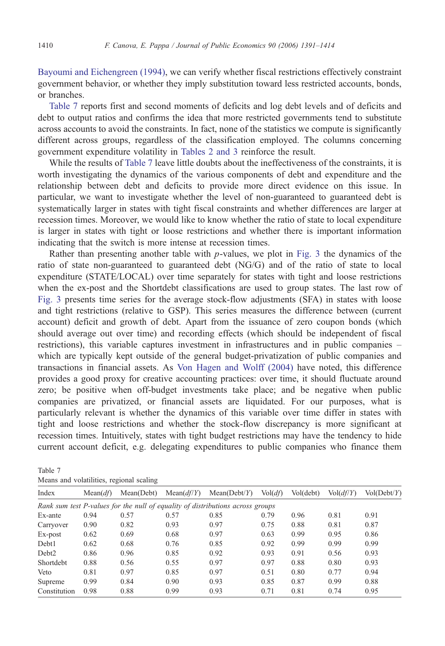Ba[youmi and Eichengreen \(1994\), we](#page-22-0) can verify whether fiscal restrictions effectively constraint government behavior, or whether they imply substitution toward less restricted accounts, bonds, or branches.

Table 7 reports first and second moments of deficits and log debt levels and of deficits and debt to output ratios and confirms the idea that more restricted governments tend to substitute across accounts to avoid the constraints. In fact, none of the statistics we compute is significantly different across groups, regardless of the classification employed. The columns concerning government expenditure volatility in Ta[bles 2 and 3](#page-8-0) reinforce the result.

While the results of Table 7 leave little doubts about the ineffectiveness of the constraints, it is worth investigating the dynamics of the various components of debt and expenditure and the relationship between debt and deficits to provide more direct evidence on this issue. In particular, we want to investigate whether the level of non-guaranteed to guaranteed debt is systematically larger in states with tight fiscal constraints and whether differences are larger at recession times. Moreover, we would like to know whether the ratio of state to local expenditure is larger in states with tight or loose restrictions and whether there is important information indicating that the switch is more intense at recession times.

Rather than presenting another table with p-values, we plot in Fig[. 3](#page-20-0) the dynamics of the ratio of state non-guaranteed to guaranteed debt (NG/G) and of the ratio of state to local expenditure (STATE/LOCAL) over time separately for states with tight and loose restrictions when the ex-post and the Shortdebt classifications are used to group states. The last row of Fig[. 3](#page-20-0) presents time series for the average stock-flow adjustments (SFA) in states with loose and tight restrictions (relative to GSP). This series measures the difference between (current account) deficit and growth of debt. Apart from the issuance of zero coupon bonds (which should average out over time) and recording effects (which should be independent of fiscal restrictions), this variable captures investment in infrastructures and in public companies – which are typically kept outside of the general budget-privatization of public companies and transactions in financial assets. As Vo[n Hagen and Wolff \(2004\)](#page-23-0) have noted, this difference provides a good proxy for creative accounting practices: over time, it should fluctuate around zero; be positive when off-budget investments take place; and be negative when public companies are privatized, or financial assets are liquidated. For our purposes, what is particularly relevant is whether the dynamics of this variable over time differ in states with tight and loose restrictions and whether the stock-flow discrepancy is more significant at recession times. Intuitively, states with tight budget restrictions may have the tendency to hide current account deficit, e.g. delegating expenditures to public companies who finance them

| Index             | Mean(df) | Mean(Debt) | Mean(df/Y) | Mean(Debt/Y)                                                                   | Vol(df) | Vol(debt) | Vol( <i>df/Y</i> ) | Vol(Debt/Y) |  |  |
|-------------------|----------|------------|------------|--------------------------------------------------------------------------------|---------|-----------|--------------------|-------------|--|--|
|                   |          |            |            | Rank sum test P-values for the null of equality of distributions across groups |         |           |                    |             |  |  |
| Ex-ante           | 0.94     | 0.57       | 0.57       | 0.85                                                                           | 0.79    | 0.96      | 0.81               | 0.91        |  |  |
| Carryover         | 0.90     | 0.82       | 0.93       | 0.97                                                                           | 0.75    | 0.88      | 0.81               | 0.87        |  |  |
| Ex-post           | 0.62     | 0.69       | 0.68       | 0.97                                                                           | 0.63    | 0.99      | 0.95               | 0.86        |  |  |
| Debt1             | 0.62     | 0.68       | 0.76       | 0.85                                                                           | 0.92    | 0.99      | 0.99               | 0.99        |  |  |
| Debt <sub>2</sub> | 0.86     | 0.96       | 0.85       | 0.92                                                                           | 0.93    | 0.91      | 0.56               | 0.93        |  |  |
| Shortdebt         | 0.88     | 0.56       | 0.55       | 0.97                                                                           | 0.97    | 0.88      | 0.80               | 0.93        |  |  |
| Veto              | 0.81     | 0.97       | 0.85       | 0.97                                                                           | 0.51    | 0.80      | 0.77               | 0.94        |  |  |
| Supreme           | 0.99     | 0.84       | 0.90       | 0.93                                                                           | 0.85    | 0.87      | 0.99               | 0.88        |  |  |
| Constitution      | 0.98     | 0.88       | 0.99       | 0.93                                                                           | 0.71    | 0.81      | 0.74               | 0.95        |  |  |
|                   |          |            |            |                                                                                |         |           |                    |             |  |  |

Table 7 Means and volatilities, regional scaling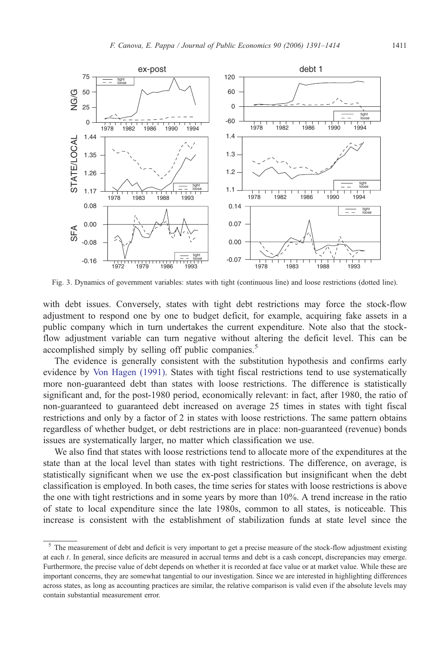<span id="page-20-0"></span>

Fig. 3. Dynamics of government variables: states with tight (continuous line) and loose restrictions (dotted line).

with debt issues. Conversely, states with tight debt restrictions may force the stock-flow adjustment to respond one by one to budget deficit, for example, acquiring fake assets in a public company which in turn undertakes the current expenditure. Note also that the stockflow adjustment variable can turn negative without altering the deficit level. This can be accomplished simply by selling off public companies.<sup>5</sup>

The evidence is generally consistent with the substitution hypothesis and confirms early evidence by Vo[n Hagen \(1991\). St](#page-23-0)ates with tight fiscal restrictions tend to use systematically more non-guaranteed debt than states with loose restrictions. The difference is statistically significant and, for the post-1980 period, economically relevant: in fact, after 1980, the ratio of non-guaranteed to guaranteed debt increased on average 25 times in states with tight fiscal restrictions and only by a factor of 2 in states with loose restrictions. The same pattern obtains regardless of whether budget, or debt restrictions are in place: non-guaranteed (revenue) bonds issues are systematically larger, no matter which classification we use.

We also find that states with loose restrictions tend to allocate more of the expenditures at the state than at the local level than states with tight restrictions. The difference, on average, is statistically significant when we use the ex-post classification but insignificant when the debt classification is employed. In both cases, the time series for states with loose restrictions is above the one with tight restrictions and in some years by more than 10%. A trend increase in the ratio of state to local expenditure since the late 1980s, common to all states, is noticeable. This increase is consistent with the establishment of stabilization funds at state level since the

The measurement of debt and deficit is very important to get a precise measure of the stock-flow adjustment existing at each t. In general, since deficits are measured in accrual terms and debt is a cash concept, discrepancies may emerge. Furthermore, the precise value of debt depends on whether it is recorded at face value or at market value. While these are important concerns, they are somewhat tangential to our investigation. Since we are interested in highlighting differences across states, as long as accounting practices are similar, the relative comparison is valid even if the absolute levels may contain substantial measurement error.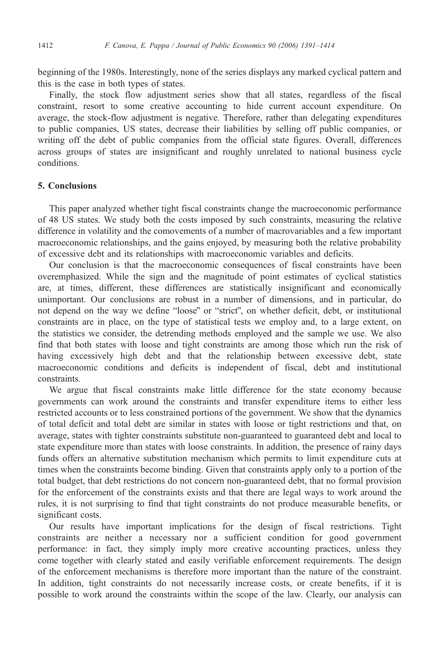beginning of the 1980s. Interestingly, none of the series displays any marked cyclical pattern and this is the case in both types of states.

Finally, the stock flow adjustment series show that all states, regardless of the fiscal constraint, resort to some creative accounting to hide current account expenditure. On average, the stock-flow adjustment is negative. Therefore, rather than delegating expenditures to public companies, US states, decrease their liabilities by selling off public companies, or writing off the debt of public companies from the official state figures. Overall, differences across groups of states are insignificant and roughly unrelated to national business cycle conditions.

## 5. Conclusions

This paper analyzed whether tight fiscal constraints change the macroeconomic performance of 48 US states. We study both the costs imposed by such constraints, measuring the relative difference in volatility and the comovements of a number of macrovariables and a few important macroeconomic relationships, and the gains enjoyed, by measuring both the relative probability of excessive debt and its relationships with macroeconomic variables and deficits.

Our conclusion is that the macroeconomic consequences of fiscal constraints have been overemphasized. While the sign and the magnitude of point estimates of cyclical statistics are, at times, different, these differences are statistically insignificant and economically unimportant. Our conclusions are robust in a number of dimensions, and in particular, do not depend on the way we define "loose" or "strict", on whether deficit, debt, or institutional constraints are in place, on the type of statistical tests we employ and, to a large extent, on the statistics we consider, the detrending methods employed and the sample we use. We also find that both states with loose and tight constraints are among those which run the risk of having excessively high debt and that the relationship between excessive debt, state macroeconomic conditions and deficits is independent of fiscal, debt and institutional constraints.

We argue that fiscal constraints make little difference for the state economy because governments can work around the constraints and transfer expenditure items to either less restricted accounts or to less constrained portions of the government. We show that the dynamics of total deficit and total debt are similar in states with loose or tight restrictions and that, on average, states with tighter constraints substitute non-guaranteed to guaranteed debt and local to state expenditure more than states with loose constraints. In addition, the presence of rainy days funds offers an alternative substitution mechanism which permits to limit expenditure cuts at times when the constraints become binding. Given that constraints apply only to a portion of the total budget, that debt restrictions do not concern non-guaranteed debt, that no formal provision for the enforcement of the constraints exists and that there are legal ways to work around the rules, it is not surprising to find that tight constraints do not produce measurable benefits, or significant costs.

Our results have important implications for the design of fiscal restrictions. Tight constraints are neither a necessary nor a sufficient condition for good government performance: in fact, they simply imply more creative accounting practices, unless they come together with clearly stated and easily verifiable enforcement requirements. The design of the enforcement mechanisms is therefore more important than the nature of the constraint. In addition, tight constraints do not necessarily increase costs, or create benefits, if it is possible to work around the constraints within the scope of the law. Clearly, our analysis can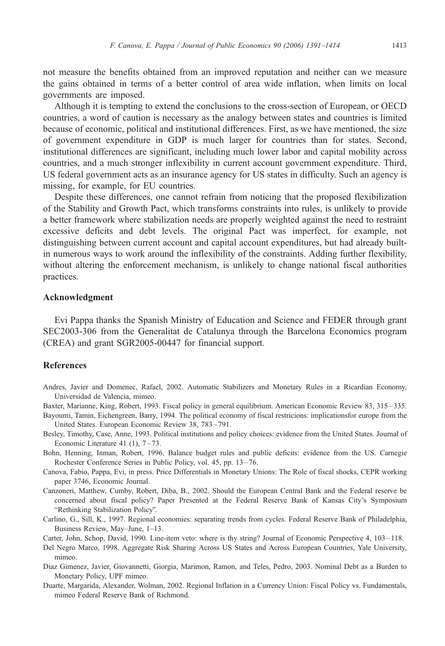<span id="page-22-0"></span>not measure the benefits obtained from an improved reputation and neither can we measure the gains obtained in terms of a better control of area wide inflation, when limits on local governments are imposed.

Although it is tempting to extend the conclusions to the cross-section of European, or OECD countries, a word of caution is necessary as the analogy between states and countries is limited because of economic, political and institutional differences. First, as we have mentioned, the size of government expenditure in GDP is much larger for countries than for states. Second, institutional differences are significant, including much lower labor and capital mobility across countries, and a much stronger inflexibility in current account government expenditure. Third, US federal government acts as an insurance agency for US states in difficulty. Such an agency is missing, for example, for EU countries.

Despite these differences, one cannot refrain from noticing that the proposed flexibilization of the Stability and Growth Pact, which transforms constraints into rules, is unlikely to provide a better framework where stabilization needs are properly weighted against the need to restraint excessive deficits and debt levels. The original Pact was imperfect, for example, not distinguishing between current account and capital account expenditures, but had already builtin numerous ways to work around the inflexibility of the constraints. Adding further flexibility, without altering the enforcement mechanism, is unlikely to change national fiscal authorities practices.

#### Acknowledgment

Evi Pappa thanks the Spanish Ministry of Education and Science and FEDER through grant SEC2003-306 from the Generalitat de Catalunya through the Barcelona Economics program (CREA) and grant SGR2005-00447 for financial support.

#### References

Andres, Javier and Domenec, Rafael, 2002. Automatic Stabilizers and Monetary Rules in a Ricardian Economy, Universidad de Valencia, mimeo.

Baxter, Marianne, King, Robert, 1993. Fiscal policy in general equilibrium. American Economic Review 83, 315 – 335.

Bayoumi, Tamin, Eichengreen, Barry, 1994. The political economy of fiscal restricions: implicationsfor europe from the United States. European Economic Review 38, 783 – 791.

- Besley, Timothy, Case, Anne, 1993. Political institutions and policy choices: evidence from the United States. Journal of Economic Literature 41 (1),  $7-73$ .
- Bohn, Henning, Inman, Robert, 1996. Balance budget rules and public deficits: evidence from the US. Carnegie Rochester Conference Series in Public Policy, vol. 45, pp. 13–76.
- Canova, Fabio, Pappa, Evi, in press. Price Differentials in Monetary Unions: The Role of fiscal shocks, CEPR working paper 3746, Economic Journal.
- Canzoneri, Matthew, Cumby, Robert, Diba, B., 2002. Should the European Central Bank and the Federal reserve be concerned about fiscal policy? Paper Presented at the Federal Reserve Bank of Kansas City's Symposium "Rethinking Stabilization Policy".
- Carlino, G., Sill, K., 1997. Regional economies: separating trends from cycles. Federal Reserve Bank of Philadelphia, Business Review, May–June, 1–13.
- Carter, John, Schop, David, 1990. Line-item veto: where is thy string? Journal of Economic Perspective 4, 103–118.
- Del Negro Marco, 1998. Aggregate Risk Sharing Across US States and Across European Countries, Yale University, mimeo.
- Diaz Gimenez, Javier, Giovannetti, Giorgia, Marimon, Ramon, and Teles, Pedro, 2003. Nominal Debt as a Burden to Monetary Policy, UPF mimeo.
- Duarte, Margarida, Alexander, Wolman, 2002. Regional Inflation in a Currency Union: Fiscal Policy vs. Fundamentals, mimeo Federal Reserve Bank of Richmond.